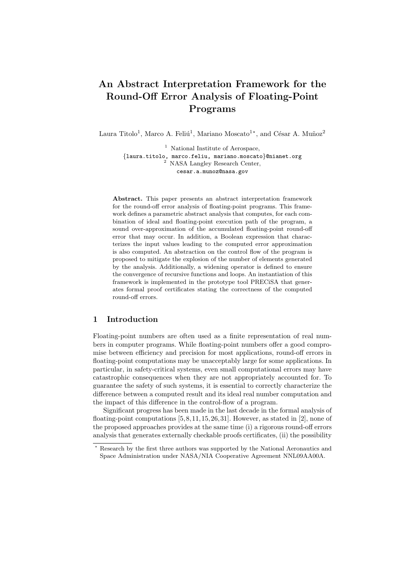# An Abstract Interpretation Framework for the Round-Off Error Analysis of Floating-Point Programs

Laura Titolo<sup>1</sup>, Marco A. Feliú<sup>1</sup>, Mariano Moscato<sup>1</sup><sup>\*</sup>, and César A. Muñoz<sup>2</sup>

<sup>1</sup> National Institute of Aerospace, {laura.titolo, marco.feliu, mariano.moscato}@nianet.org <sup>2</sup> NASA Langley Research Center, cesar.a.munoz@nasa.gov

Abstract. This paper presents an abstract interpretation framework for the round-off error analysis of floating-point programs. This framework defines a parametric abstract analysis that computes, for each combination of ideal and floating-point execution path of the program, a sound over-approximation of the accumulated floating-point round-off error that may occur. In addition, a Boolean expression that characterizes the input values leading to the computed error approximation is also computed. An abstraction on the control flow of the program is proposed to mitigate the explosion of the number of elements generated by the analysis. Additionally, a widening operator is defined to ensure the convergence of recursive functions and loops. An instantiation of this framework is implemented in the prototype tool PRECiSA that generates formal proof certificates stating the correctness of the computed round-off errors.

#### 1 Introduction

Floating-point numbers are often used as a finite representation of real numbers in computer programs. While floating-point numbers offer a good compromise between efficiency and precision for most applications, round-off errors in floating-point computations may be unacceptably large for some applications. In particular, in safety-critical systems, even small computational errors may have catastrophic consequences when they are not appropriately accounted for. To guarantee the safety of such systems, it is essential to correctly characterize the difference between a computed result and its ideal real number computation and the impact of this difference in the control-flow of a program.

Significant progress has been made in the last decade in the formal analysis of floating-point computations [\[5,](#page-20-0)[8,](#page-20-1)[11,](#page-20-2)[15,](#page-20-3)[26,](#page-21-0)[31\]](#page-21-1). However, as stated in [\[2\]](#page-20-4), none of the proposed approaches provides at the same time (i) a rigorous round-off errors analysis that generates externally checkable proofs certificates, (ii) the possibility

<sup>⋆</sup> Research by the first three authors was supported by the National Aeronautics and Space Administration under NASA/NIA Cooperative Agreement NNL09AA00A.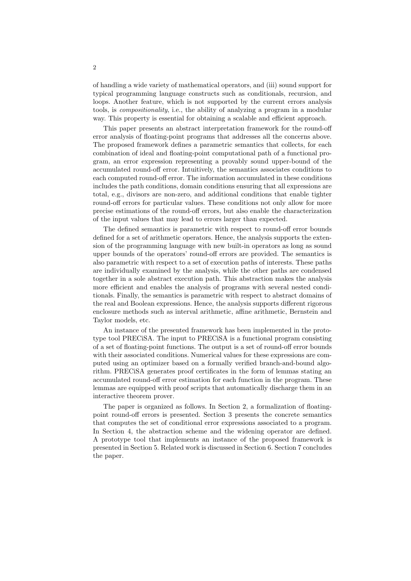of handling a wide variety of mathematical operators, and (iii) sound support for typical programming language constructs such as conditionals, recursion, and loops. Another feature, which is not supported by the current errors analysis tools, is compositionality, i.e., the ability of analyzing a program in a modular way. This property is essential for obtaining a scalable and efficient approach.

This paper presents an abstract interpretation framework for the round-off error analysis of floating-point programs that addresses all the concerns above. The proposed framework defines a parametric semantics that collects, for each combination of ideal and floating-point computational path of a functional program, an error expression representing a provably sound upper-bound of the accumulated round-off error. Intuitively, the semantics associates conditions to each computed round-off error. The information accumulated in these conditions includes the path conditions, domain conditions ensuring that all expressions are total, e.g., divisors are non-zero, and additional conditions that enable tighter round-off errors for particular values. These conditions not only allow for more precise estimations of the round-off errors, but also enable the characterization of the input values that may lead to errors larger than expected.

The defined semantics is parametric with respect to round-off error bounds defined for a set of arithmetic operators. Hence, the analysis supports the extension of the programming language with new built-in operators as long as sound upper bounds of the operators' round-off errors are provided. The semantics is also parametric with respect to a set of execution paths of interests. These paths are individually examined by the analysis, while the other paths are condensed together in a sole abstract execution path. This abstraction makes the analysis more efficient and enables the analysis of programs with several nested conditionals. Finally, the semantics is parametric with respect to abstract domains of the real and Boolean expressions. Hence, the analysis supports different rigorous enclosure methods such as interval arithmetic, affine arithmetic, Bernstein and Taylor models, etc.

An instance of the presented framework has been implemented in the prototype tool PRECiSA. The input to PRECiSA is a functional program consisting of a set of floating-point functions. The output is a set of round-off error bounds with their associated conditions. Numerical values for these expressions are computed using an optimizer based on a formally verified branch-and-bound algorithm. PRECiSA generates proof certificates in the form of lemmas stating an accumulated round-off error estimation for each function in the program. These lemmas are equipped with proof scripts that automatically discharge them in an interactive theorem prover.

The paper is organized as follows. In Section [2,](#page-2-0) a formalization of floatingpoint round-off errors is presented. Section [3](#page-5-0) presents the concrete semantics that computes the set of conditional error expressions associated to a program. In Section [4,](#page-10-0) the abstraction scheme and the widening operator are defined. A prototype tool that implements an instance of the proposed framework is presented in Section [5.](#page-14-0) Related work is discussed in Section [6.](#page-16-0) Section [7](#page-19-0) concludes the paper.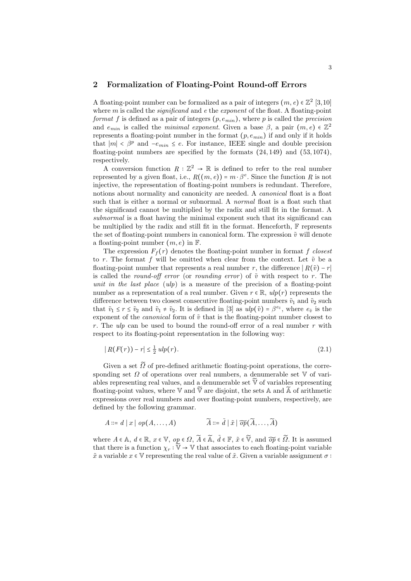#### <span id="page-2-0"></span>2 Formalization of Floating-Point Round-off Errors

A floating-point number can be formalized as a pair of integers  $(m, e) \in \mathbb{Z}^2$  [\[3,](#page-20-5)[10\]](#page-20-6) where  $m$  is called the *significand* and  $e$  the *exponent* of the float. A floating-point format f is defined as a pair of integers  $(p, e_{min})$ , where p is called the precision and  $e_{min}$  is called the *minimal exponent*. Given a base  $\beta$ , a pair  $(m, e) \in \mathbb{Z}^2$ <br>perpendicular a floating point number in the formet  $(n, e)$ , if and only if it holds represents a floating-point number in the format  $(p, e_{min})$  if and only if it holds that  $|m| < \beta^p$  and  $-e_{min} \leq e$ . For instance, IEEE single and double precision flective point numbers are grasified by the formate  $(24, 140)$  and  $(52, 1074)$ floating-point numbers are specified by the formats  $(24, 149)$  and  $(53, 1074)$ , respectively.

A conversion function  $R: \mathbb{Z}^2 \to \mathbb{R}$  is defined to refer to the real number represented by a given float, i.e.,  $R((m, e)) = m \cdot \beta^e$ . Since the function R is not injective, the representation of floating-point numbers is redundant. Therefore, notions about normality and canonicity are needed. A *canonical* float is a float such that is either a normal or subnormal. A *normal* float is a float such that the significand cannot be multiplied by the radix and still fit in the format. A subnormal is a float having the minimal exponent such that its significand can be multiplied by the radix and still fit in the format. Henceforth,  $\mathbb F$  represents the set of floating-point numbers in canonical form. The expression  $\tilde{v}$  will denote a floating-point number  $(m, e)$  in  $\mathbb{F}$ .

The expression  $F_f(r)$  denotes the floating-point number in format f closest to r. The format f will be omitted when clear from the context. Let  $\tilde{v}$  be a floating-point number that represents a real number r, the difference  $|R(\tilde{v}) - r|$ is called the round-off error (or rounding error) of  $\tilde{v}$  with respect to r. The unit in the last place  $(ulp)$  is a measure of the precision of a floating-point number as a representation of a real number. Given  $r \in \mathbb{R}$ ,  $\text{ulp}(r)$  represents the difference between two closest consecutive floating-point numbers  $\tilde{v}_1$  and  $\tilde{v}_2$  such that  $\tilde{v}_1 \le r \le \tilde{v}_2$  and  $\tilde{v}_1 \ne \tilde{v}_2$ . It is defined in [\[3\]](#page-20-5) as  $ulp(\tilde{v}) = \beta^{e_{\tilde{v}}}$ , where  $e_{\tilde{v}}$  is the exponent of the *canonical* form of  $\tilde{v}$  that is the floating-point number closest to r. The ulp can be used to bound the round-off error of a real number  $r$  with respect to its floating-point representation in the following way:

<span id="page-2-1"></span>
$$
|R(F(r)) - r| \le \frac{1}{2} \, ulp(r). \tag{2.1}
$$

Given a set  $\tilde{\Omega}$  of pre-defined arithmetic floating-point operations, the corresponding set  $\Omega$  of operations over real numbers, a denumerable set V of variables representing real values, and a denumerable set  $\widetilde{\mathbb{V}}$  of variables representing floating-point values, where V and  $\widetilde{V}$  are disjoint, the sets A and  $\widetilde{A}$  of arithmetic expressions over real numbers and over floating-point numbers, respectively, are defined by the following grammar.

$$
A ::= d | x | op(A, ..., A)
$$

$$
\widetilde{A} ::= \widetilde{d} | \widetilde{x} | \widetilde{op}(\widetilde{A}, ..., \widetilde{A})
$$

where  $A \in \mathbb{A}$ ,  $d \in \mathbb{R}$ ,  $x \in \mathbb{V}$ ,  $op \in \Omega$ ,  $\widetilde{A} \in \widetilde{\mathbb{A}}$ ,  $\widetilde{d} \in \mathbb{F}$ ,  $\widetilde{x} \in \widetilde{\mathbb{V}}$ , and  $\widetilde{op} \in \widetilde{\Omega}$ . It is assumed that there is a function  $\chi_r : \widetilde{\mathbb{V}} \to \mathbb{V}$  that associates to each floating-point variable  $\tilde{x}$  a variable  $x \in V$  representing the real value of  $\tilde{x}$ . Given a variable assignment  $\sigma$ :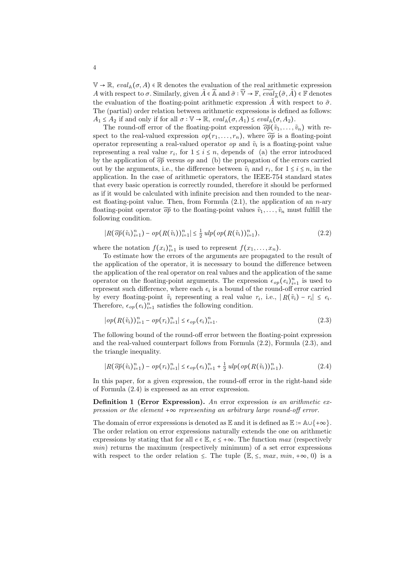$\mathbb{V} \to \mathbb{R}$ ,  $eval_{\mathbb{A}}(\sigma, A) \in \mathbb{R}$  denotes the evaluation of the real arithmetic expression A with respect to  $\sigma$ . Similarly, given  $\tilde{A} \in \tilde{A}$  and  $\tilde{\sigma} : \tilde{\mathbb{V}} \to \mathbb{F}$ ,  $\widetilde{eval}_{\tilde{A}}(\tilde{\sigma}, \tilde{A}) \in \mathbb{F}$  denotes the evaluation of the floating-point arithmetic expression  $\tilde{A}$  with respect to  $\tilde{\sigma}$ . The (partial) order relation between arithmetic expressions is defined as follows:  $A_1 \leq A_2$  if and only if for all  $\sigma : \mathbb{V} \to \mathbb{R}$ ,  $eval_\mathbb{A}(\sigma, A_1) \leq eval_\mathbb{A}(\sigma, A_2)$ .

The round-off error of the floating-point expression  $\widetilde{op}(\tilde{v}_1,\ldots,\tilde{v}_n)$  with respect to the real-valued expression  $op(r_1, \ldots, r_n)$ , where  $\widetilde{op}$  is a floating-point operator representing a real-valued operator  $op$  and  $\tilde{v}_i$  is a floating-point value representing a real value  $r_i$ , for  $1 \le i \le n$ , depends of (a) the error introduced<br>by the employment of  $\widetilde{\mathfrak{m}}$  repays on and (b) the preparation of the error compo by the application of  $\tilde{\rho}$  versus op and (b) the propagation of the errors carried out by the arguments, i.e., the difference between  $\tilde{v}_i$  and  $r_i$ , for  $1 \leq i \leq n$ , in the application. In the case of arithmetic operators, the IEEE-754 standard states that every basic operation is correctly rounded, therefore it should be performed as if it would be calculated with infinite precision and then rounded to the nearest floating-point value. Then, from Formula  $(2.1)$ , the application of an *n*-ary floating-point operator  $\widetilde{op}$  to the floating-point values  $\widetilde{v}_1, \ldots, \widetilde{v}_n$  must fulfill the following condition.

<span id="page-3-0"></span>
$$
|R(\widetilde{op}(\tilde{v}_i)_{i=1}^n) - op(R(\tilde{v}_i))_{i=1}^n| \leq \frac{1}{2} \operatorname{ulp}(op(R(\tilde{v}_i))_{i=1}^n), \tag{2.2}
$$

where the notation  $f(x_i)_{i=1}^n$  is used to represent  $f(x_1, \ldots, x_n)$ .

To estimate how the errors of the arguments are propagated to the result of the application of the operator, it is necessary to bound the difference between the application of the real operator on real values and the application of the same operator on the floating-point arguments. The expression  $\epsilon_{op}(e_i)_{i=1}^n$  is used to represent such difference, where each  $e_i$  is a bound of the round-off error carried by every floating-point  $\tilde{v}_i$  representing a real value  $r_i$ , i.e.,  $|R(\tilde{v}_i) - r_i| \le e_i$ .<br>Therefore  $\epsilon_i$  (e)<sup>n</sup> extinges the following condition Therefore,  $\epsilon_{op}(e_i)_{i=1}^n$  satisfies the following condition.

<span id="page-3-1"></span>
$$
|op(R(\tilde{v}_i))_{i=1}^n - op(r_i)_{i=1}^n| \le \epsilon_{op}(e_i)_{i=1}^n.
$$
\n(2.3)

The following bound of the round-off error between the floating-point expression and the real-valued counterpart follows from Formula [\(2.2\)](#page-3-0), Formula [\(2.3\)](#page-3-1), and the triangle inequality.

<span id="page-3-2"></span>
$$
|R(\widetilde{op}(\tilde{v}_i)_{i=1}^n) - op(r_i)_{i=1}^n| \le \epsilon_{op}(e_i)_{i=1}^n + \frac{1}{2} \operatorname{ulp}(op(R(\tilde{v}_i))_{i=1}^n).
$$
 (2.4)

In this paper, for a given expression, the round-off error in the right-hand side of Formula [\(2.4\)](#page-3-2) is expressed as an error expression.

**Definition 1 (Error Expression).** An error expression is an arithmetic expression or the element  $+\infty$  representing an arbitrary large round-off error.

The domain of error expressions is denoted as  $\mathbb E$  and it is defined as  $\mathbb E := \mathbb{A} \cup \{+\infty\}.$ The order relation on error expressions naturally extends the one on arithmetic expressions by stating that for all  $e \in \mathbb{E}$ ,  $e \leq +\infty$ . The function max (respectively min) returns the maximum (respectively minimum) of a set error expressions with respect to the order relation  $\leq$ . The tuple ( $\mathbb{E}, \leq, \text{max}, \text{min}, +\infty, 0$ ) is a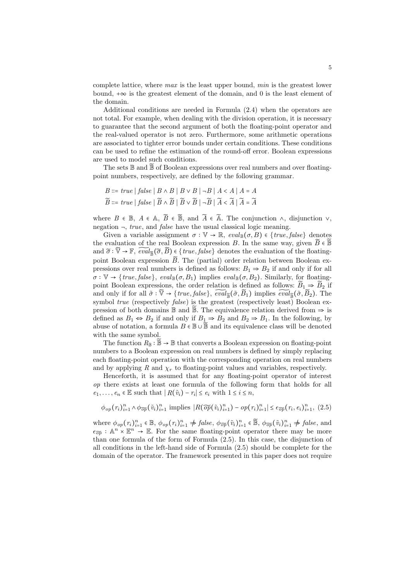complete lattice, where  $max$  is the least upper bound,  $min$  is the greatest lower bound,  $+\infty$  is the greatest element of the domain, and 0 is the least element of the domain.

Additional conditions are needed in Formula [\(2.4\)](#page-3-2) when the operators are not total. For example, when dealing with the division operation, it is necessary to guarantee that the second argument of both the floating-point operator and the real-valued operator is not zero. Furthermore, some arithmetic operations are associated to tighter error bounds under certain conditions. These conditions can be used to refine the estimation of the round-off error. Boolean expressions are used to model such conditions.

The sets **B** and **B** of Boolean expressions over real numbers and over floatingpoint numbers, respectively, are defined by the following grammar.

<sup>B</sup> ∶∶= true <sup>∣</sup> false <sup>∣</sup> <sup>B</sup> <sup>∧</sup> <sup>B</sup> <sup>∣</sup> <sup>B</sup> <sup>∨</sup> <sup>B</sup> <sup>∣</sup> <sup>¬</sup><sup>B</sup> <sup>∣</sup> <sup>A</sup> <sup>&</sup>lt; <sup>A</sup> <sup>∣</sup> <sup>A</sup> <sup>=</sup> <sup>A</sup>  $\widetilde{B}$  ::= true  $\mid$  false  $\mid \widetilde{B} \wedge \widetilde{B} \mid \widetilde{B} \vee \widetilde{B} \mid \neg \widetilde{B} \mid \widetilde{A} \leq \widetilde{A} \mid \widetilde{A} = \widetilde{A}$ 

where  $B \in \mathbb{B}$ ,  $A \in \mathbb{A}$ ,  $\widetilde{B} \in \widetilde{\mathbb{B}}$ , and  $\widetilde{A} \in \widetilde{\mathbb{A}}$ . The conjunction  $\wedge$ , disjunction  $\vee$ , negation  $\neg$ , *true*, and *false* have the usual classical logic meaning.

Given a variable assignment  $\sigma : \mathbb{V} \to \mathbb{R}$ ,  $eval_{\mathbb{B}}(\sigma, B) \in \{true, false\}$  denotes the evaluation of the real Boolean expression B. In the same way, given  $\widetilde{B} \in \widetilde{\mathbb{B}}$ and  $\widetilde{\sigma}: \widetilde{\mathbb{V}} \to \mathbb{F}$ ,  $\widetilde{eval}_{\widetilde{\mathbb{B}}}(\widetilde{\sigma}, \widetilde{B}) \in \{true, false\}$  denotes the evaluation of the floatingpoint Boolean expression  $\widetilde{B}$ . The (partial) order relation between Boolean expressions over real numbers is defined as follows:  $B_1 \Rightarrow B_2$  if and only if for all  $\sigma : \mathbb{V} \to \{true, false\}, \ eval_{\mathbb{B}}(\sigma, B_1) \text{ implies } eval_{\mathbb{B}}(\sigma, B_2). \text{ Similarly, for floating$ point Boolean expressions, the order relation is defined as follows:  $\widetilde{B}_1 \Rightarrow \widetilde{B}_2$  if and only if for all  $\tilde{\sigma} : \tilde{\mathbb{V}} \to \{true, false\}$ ,  $\widetilde{eval}_{\tilde{\mathbb{B}}}(\tilde{\sigma}, \widetilde{B}_1)$  implies  $\widetilde{eval}_{\tilde{\mathbb{B}}}(\tilde{\sigma}, \widetilde{B}_2)$ . The symbol true (respectively false) is the greatest (respectively least) Boolean expression of both domains  $\mathbb B$  and  $\widetilde{\mathbb B}$ . The equivalence relation derived from  $\Rightarrow$  is defined as  $B_1 \Leftrightarrow B_2$  if and only if  $B_1 \Rightarrow B_2$  and  $B_2 \Rightarrow B_1$ . In the following, by abuse of notation, a formula  $B \in \mathbb{B} \cup \mathbb{B}$  and its equivalence class will be denoted with the same symbol.

The function  $R_{\mathbb{B}} : \widetilde{\mathbb{B}} \to \mathbb{B}$  that converts a Boolean expression on floating-point numbers to a Boolean expression on real numbers is defined by simply replacing each floating-point operation with the corresponding operation on real numbers and by applying R and  $\chi_r$  to floating-point values and variables, respectively.

Henceforth, it is assumed that for any floating-point operator of interest op there exists at least one formula of the following form that holds for all  $e_1, \ldots, e_n \in \mathbb{E}$  such that  $|R(\tilde{v}_i) - r_i| \leq e_i$  with  $1 \leq i \leq n$ ,

<span id="page-4-0"></span>
$$
\phi_{op}(r_i)_{i=1}^n \wedge \phi_{\widetilde{op}}(\widetilde{v}_i)_{i=1}^n \text{ implies } |R(\widetilde{op}(\widetilde{v}_i)_{i=1}^n) - op(r_i)_{i=1}^n| \le \epsilon_{\widetilde{op}}(r_i, e_i)_{i=1}^n, (2.5)
$$

where  $\phi_{op}(r_i)_{i=1}^n \in \mathbb{B}$ ,  $\phi_{op}(r_i)_{i=1}^n \neq false$ ,  $\phi_{\widetilde{op}}(\tilde{v}_i)_{i=1}^n \in \widetilde{\mathbb{B}}$ ,  $\phi_{\widetilde{op}}(\tilde{v}_i)_{i=1}^n \neq false$ , and  $\epsilon_{\widetilde{op}} : \mathbb{A}^n \times \mathbb{E}^n \to \mathbb{E}$ . For the same floating-point operator there may be more than one formula of the form of Formula [\(2.5\)](#page-4-0). In this case, the disjunction of all conditions in the left-hand side of Formula [\(2.5\)](#page-4-0) should be complete for the domain of the operator. The framework presented in this paper does not require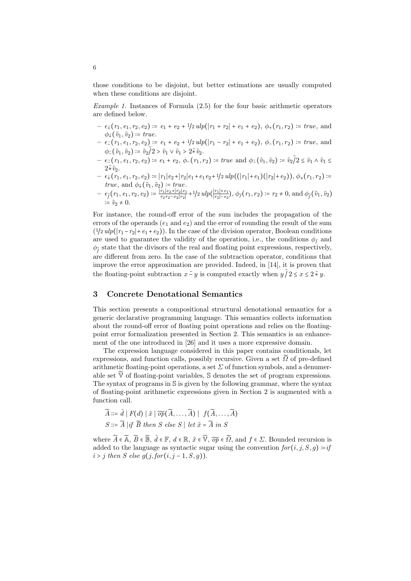those conditions to be disjoint, but better estimations are usually computed when these conditions are disjoint.

Example 1. Instances of Formula [\(2.5\)](#page-4-0) for the four basic arithmetic operators are defined below.

- $\epsilon_1(r_1, e_1, r_2, e_2) \coloneqq e_1 + e_2 + \frac{1}{2} \frac{u}{p(|r_1 + r_2| + e_1 + e_2)}, \phi_+(r_1, r_2) \coloneqq true$ , and  $\phi_{\tilde{\tau}}(\tilde{v}_1, \tilde{v}_2) \coloneqq true.$
- $\epsilon \leq (r_1, e_1, r_2, e_2) := e_1 + e_2 + 1/2 \, u l p (|r_1 r_2| + e_1 + e_2), \, \phi_-(r_1, r_2) := true$ , and  $\phi_{\tilde{-}}(\tilde{v}_1, \tilde{v}_2) \coloneqq \tilde{v}_2 \tilde{p}_2 > \tilde{v}_1 \vee \tilde{v}_1 > 2 \tilde{*} \tilde{v}_2.$
- $\epsilon \leq (r_1, e_1, r_2, e_2) \coloneqq e_1 + e_2, \ \phi_-(r_1, r_2) \coloneqq true \text{ and } \phi_-(\tilde{v}_1, \tilde{v}_2) \coloneqq \tilde{v}_2 \tilde{p}_2 \leq \tilde{v}_1 \wedge \tilde{v}_1 \leq$  $2\tilde{*} \tilde{v}_2$ .
- $\epsilon_*(r_1, e_1, r_2, e_2) := |r_1|e_2 + |r_2|e_1 + e_1e_2 + 1/2 \, ulp((|r_1|+e_1)(|r_2|+e_2)), \, \phi_*(r_1, r_2) :=$ true, and  $\phi_{\tilde{\star}}(\tilde{v}_1, \tilde{v}_2) \coloneqq true.$
- $\epsilon_{\tilde{f}}(r_1, e_1, r_2, e_2) \coloneqq \frac{|r_1|e_2 + |r_2|e_1}{r_2 r_2 e_2 |r_2|}$  $\frac{r_1|e_2+|r_2|e_1}{r_2r_2-e_2|r_2|}+1/2 \; ulp\left(\frac{|r_1|+e_1}{|r_2|-e_2}\right)$  $\frac{|r_1|+e_1}{|r_2|-e_2}$ ,  $\phi/(r_1,r_2) \coloneqq r_2 \neq 0$ , and  $\phi_{\tilde{f}}(\tilde{v}_1, \tilde{v}_2)$  $:= \tilde{v}_2 \neq 0.$

For instance, the round-off error of the sum includes the propagation of the errors of the operands ( $e_1$  and  $e_2$ ) and the error of rounding the result of the sum  $(1/2 \, ulp(|r_1-r_2|+e_1+e_2))$ . In the case of the division operator, Boolean conditions are used to guarantee the validity of the operation, i.e., the conditions  $\phi_l$  and  $\phi_{\tilde{f}}$  state that the divisors of the real and floating point expressions, respectively, are different from zero. In the case of the subtraction operator, conditions that improve the error approximation are provided. Indeed, in [\[14\]](#page-20-7), it is proven that the floating-point subtraction  $x \tilde{-} y$  is computed exactly when  $y \tilde{j} \geq x \leq 2 \tilde{*} y$ .

### <span id="page-5-0"></span>3 Concrete Denotational Semantics

This section presents a compositional structural denotational semantics for a generic declarative programming language. This semantics collects information about the round-off error of floating point operations and relies on the floatingpoint error formalization presented in Section [2.](#page-2-0) This semantics is an enhancement of the one introduced in [\[26\]](#page-21-0) and it uses a more expressive domain.

The expression language considered in this paper contains conditionals, let expressions, and function calls, possibly recursive. Given a set  $\widetilde{\Omega}$  of pre-defined arithmetic floating-point operations, a set  $\Sigma$  of function symbols, and a denumerable set  $\tilde{\mathbb{V}}$  of floating-point variables,  $\mathbb S$  denotes the set of program expressions. The syntax of programs in S is given by the following grammar, where the syntax of floating-point arithmetic expressions given in Section [2](#page-2-0) is augmented with a function call.

$$
\widetilde{A} ::= \widetilde{d} | F(d) | \widetilde{x} | \widetilde{op}(\widetilde{A}, \dots, \widetilde{A}) | f(\widetilde{A}, \dots, \widetilde{A})
$$
  

$$
S ::= \widetilde{A} | \widetilde{if} \widetilde{B} \text{ then } S \text{ else } S | \text{ let } \widetilde{x} = \widetilde{A} \text{ in } S
$$

where  $\widetilde{A} \in \widetilde{A}$ ,  $\widetilde{B} \in \widetilde{\mathbb{B}}$ ,  $\widetilde{d} \in \mathbb{F}$ ,  $d \in \mathbb{R}$ ,  $\widetilde{x} \in \widetilde{\mathbb{V}}$ ,  $\widetilde{op} \in \widetilde{\Omega}$ , and  $f \in \Sigma$ . Bounded recursion is added to the language as syntactic sugar using the convention  $for(i, j, S, g) := if$  $i > j$  then S else  $g(j, for(i, j-1, S, g))$ .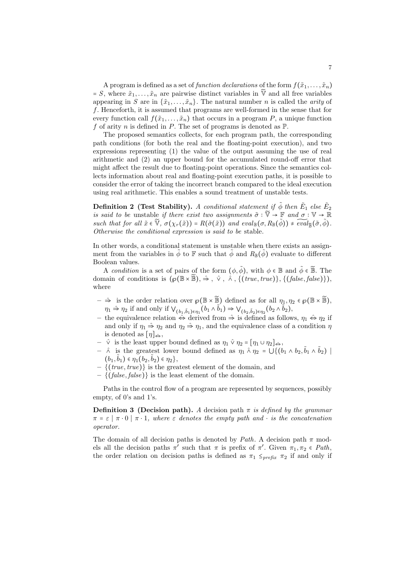A program is defined as a set of function declarations of the form  $f(\tilde{x}_1, \ldots, \tilde{x}_n)$ = S, where  $\tilde{x}_1, \ldots, \tilde{x}_n$  are pairwise distinct variables in  $\tilde{V}$  and all free variables appearing in S are in  $\{\tilde{x}_1, \ldots, \tilde{x}_n\}$ . The natural number n is called the *arity* of f. Henceforth, it is assumed that programs are well-formed in the sense that for every function call  $f(\tilde{x}_1, \ldots, \tilde{x}_n)$  that occurs in a program P, a unique function f of arity n is defined in P. The set of programs is denoted as  $\mathbb{P}$ .

The proposed semantics collects, for each program path, the corresponding path conditions (for both the real and the floating-point execution), and two expressions representing (1) the value of the output assuming the use of real arithmetic and (2) an upper bound for the accumulated round-off error that might affect the result due to floating-point operations. Since the semantics collects information about real and floating-point execution paths, it is possible to consider the error of taking the incorrect branch compared to the ideal execution using real arithmetic. This enables a sound treatment of unstable tests.

**Definition 2 (Test Stability).** A conditional statement if  $\tilde{\phi}$  then  $\tilde{E}_1$  else  $\tilde{E}_2$ is said to be unstable if there exist two assignments  $\tilde{\sigma} : \tilde{\mathbb{V}} \to \mathbb{F}$  and  $\sigma : \mathbb{V} \to \mathbb{R}$ such that for all  $\tilde{x} \in \tilde{\mathbb{V}}$ ,  $\sigma(\chi_r(\tilde{x})) = R(\tilde{\sigma}(\tilde{x}))$  and  $eval_{\mathbb{B}}(\sigma, R_{\mathbb{B}}(\tilde{\phi})) \neq \tilde{eval}_{\tilde{\mathbb{B}}}(\tilde{\sigma}, \tilde{\phi})$ . Otherwise the conditional expression is said to be stable.

In other words, a conditional statement is unstable when there exists an assignment from the variables in  $\tilde{\phi}$  to F such that  $\tilde{\phi}$  and  $R_{\mathbb{R}}(\tilde{\phi})$  evaluate to different Boolean values.

A condition is a set of pairs of the form  $(\phi, \tilde{\phi})$ , with  $\phi \in \mathbb{B}$  and  $\tilde{\phi} \in \tilde{\mathbb{B}}$ . The domain of conditions is  $(\varphi(\mathbb{B} \times \widetilde{\mathbb{B}}), \Rightarrow, \hat{\vee}, \hat{\wedge}, \{(\text{true}, \text{true})\}, \{(\text{false}, \text{false})\}),$ where

- $-$  ⇒ is the order relation over  $\wp(\mathbb{B} \times \widetilde{\mathbb{B}})$  defined as for all  $\eta_1, \eta_2 \in \wp(\mathbb{B} \times \widetilde{\mathbb{B}})$ ,  $\eta_1 \triangleq \eta_2$  if and only if  $\vee_{(b_1,\tilde{b}_1)\in\eta_1}(b_1 \wedge \tilde{b}_1) \Rightarrow \vee_{(b_2,\tilde{b}_2)\in\eta_2}(b_2 \wedge \tilde{b}_2)$ ,
- the equivalence relation ⇔ derived from ⇒ is defined as follows,  $η_1$  ⇔ $η_2$  if and only if  $\eta_1 \triangleq \eta_2$  and  $\eta_2 \triangleq \eta_1$ , and the equivalence class of a condition  $\eta$ is denoted as  $[\eta]_{\leftrightarrow}$ ,
- $\hat{\vee}$  is the least upper bound defined as  $η_1 \hat{\vee} η_2 = [η_1 ∪ η_2]_{\hat{\leftrightarrow}}$ ,
- $\hat{\lambda}$  is the greatest lower bound defined as  $\eta_1 \hat{\lambda} \eta_2 = \bigcup \{ (b_1 \wedge b_2, \tilde{b}_1 \wedge \tilde{b}_2) \mid (b_1 \tilde{b}_1) \in \mathbb{R} \mid (b_1 \tilde{b}_2) \in \mathbb{R} \}$  $(b_1, \tilde{b}_1) \in \eta_1(b_2, \tilde{b}_2) \in \eta_2$ ,<br> $((\text{true}, \text{true})$ , is the great
- $\{ (true, true) \}$  is the greatest element of the domain, and
- $\{(\text{false}, \text{false})\}$  is the least element of the domain.

Paths in the control flow of a program are represented by sequences, possibly empty, of 0's and 1's.

**Definition 3 (Decision path).** A decision path  $\pi$  is defined by the grammar  $\pi = \varepsilon \mid \pi \cdot 0 \mid \pi \cdot 1$ , where  $\varepsilon$  denotes the empty path and  $\cdot$  is the concatenation operator.

The domain of all decision paths is denoted by Path. A decision path  $\pi$  models all the decision paths  $\pi'$  such that  $\pi$  is prefix of  $\pi'$ . Given  $\pi_1, \pi_2 \in Path$ ,<br>the order polation on decision paths is defined as  $\pi$ ,  $\leq$  and  $\pi$ , if and only if the order relation on decision paths is defined as  $\pi_1 \leq_{\text{prefix}} \pi_2$  if and only if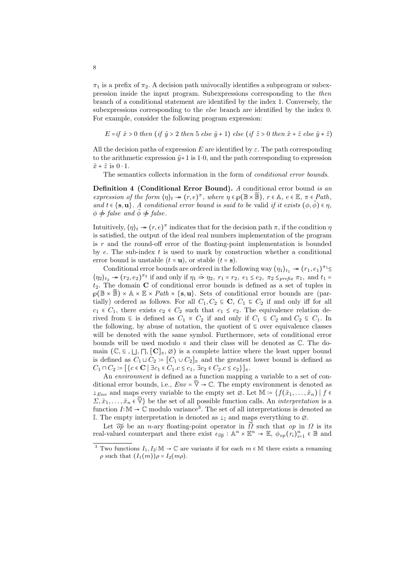$\pi_1$  is a prefix of  $\pi_2$ . A decision path univocally identifies a subprogram or subexpression inside the input program. Subexpressions corresponding to the then branch of a conditional statement are identified by the index 1. Conversely, the subexpressions corresponding to the *else* branch are identified by the index 0. For example, consider the following program expression:

$$
E = if \tilde{x} > 0 \text{ then } (if \tilde{y} > 2 \text{ then } 5 \text{ else } \tilde{y} + 1) \text{ else } (if \tilde{z} > 0 \text{ then } \tilde{x} + \tilde{z} \text{ else } \tilde{y} * \tilde{z})
$$

All the decision paths of expression E are identified by  $\varepsilon$ . The path corresponding to the arithmetic expression  $\tilde{y}+1$  is 1⋅0, and the path corresponding to expression  $\tilde{x} + \tilde{z}$  is  $0 \cdot 1$ .

The semantics collects information in the form of conditional error bounds.

Definition 4 (Conditional Error Bound). A conditional error bound is an expression of the form  $\langle \eta \rangle_t \rightarrow (r, e)^{\pi}$ , where  $\eta \in \mathfrak{g}(\mathbb{B} \times \widetilde{\mathbb{B}})$ ,  $r \in \mathbb{A}$ ,  $e \in \mathbb{E}$ ,  $\pi \in Path$ ,  $\mathfrak{g}$  and  $t \in \mathbb{R}$ ,  $\pi \in Path$ , and  $t \in \{s, u\}$ . A conditional error bound is said to be valid if it exists  $(\phi, \phi) \in \eta$ .  $\phi \neq false$  and  $\phi \neq false$ .

Intuitively,  $\langle \eta \rangle_t \twoheadrightarrow (r, e)^\pi$  indicates that for the decision path  $\pi$ , if the condition  $\eta$ is satisfied, the output of the ideal real numbers implementation of the program is  $r$  and the round-off error of the floating-point implementation is bounded by  $e$ . The sub-index  $t$  is used to mark by construction whether a conditional error bound is unstable  $(t = u)$ , or stable  $(t = s)$ .

Conditional error bounds are ordered in the following way  $(\eta_1)_{t_1} \twoheadrightarrow (r_1, e_1)^{\pi_1}$ Conditional error bounds are ordered in the following way  $\sqrt{11/t_1}$  " $\sqrt{11/t_1}$ "<br>  $\sqrt{12/t_2}$   $\rightarrow$   $(r_2, e_2)^{\pi_2}$  if and only if  $\eta_1 \Rightarrow \eta_2$ ,  $r_1 = r_2$ ,  $e_1 \le e_2$ ,  $\pi_2 \le_{\text{prefix}} \pi_1$ , and  $t_1 =$ <br>  $t_1$ . The densing  $t_2$ . The domain **C** of conditional error bounds is defined as a set of tuples in  $\wp(\mathbb{B} \times \mathbb{B}) \times \mathbb{A} \times \mathbb{E} \times Path \times \{\mathbf{s}, \mathbf{u}\}.$  Sets of conditional error bounds are (partially) ordered as follows. For all  $C_1, C_2 \subseteq \mathbb{C}, C_1 \subseteq C_2$  if and only iff for all  $c_1 \in C_1$ , there exists  $c_2 \in C_2$  such that  $c_1 \leq c_2$ . The equivalence relation derived from  $\subseteq$  is defined as  $C_1 \equiv C_2$  if and only if  $C_1 \subseteq C_2$  and  $C_2 \subseteq C_1$ . In the following, by abuse of notation, the quotient of  $\epsilon$  over equivalence classes will be denoted with the same symbol. Furthermore, sets of conditional error bounds will be used modulo  $\equiv$  and their class will be denoted as  $\mathbb{C}$ . The domain ( $\mathbb{C}, \subseteq, \sqcup, \sqcap, [\mathbf{C}]_{=}, \varnothing$ ) is a complete lattice where the least upper bound is defined as  $C_1 \sqcup C_2 = [C_1 \cup C_2]$  and the greatest lower bound is defined as  $C_1 \sqcap C_2 \coloneqq \left[ \{ c \in \mathbf{C} \mid \exists c_1 \in C_1.c \leq c_1, \exists c_2 \in C_2.c \leq c_2 \} \right]_{\equiv}$ .

An environment is defined as a function mapping a variable to a set of conditional error bounds, i.e.,  $Env = \tilde{\mathbb{V}} \rightarrow \mathbb{C}$ . The empty environment is denoted as  $\perp_{Env}$  and maps every variable to the empty set ∅. Let  $\mathbb{M} := \{f(\tilde{x}_1, \ldots, \tilde{x}_n) \mid f \in$  $\Sigma, \tilde{x}_1, \ldots, \tilde{x}_n \in \tilde{\mathbb{V}}\}$  be the set of all possible function calls. An *interpretation* is a function  $I:\mathbb{M} \to \mathbb{C}$  modulo variance<sup>[3](#page-7-0)</sup>. The set of all interpretations is denoted as I. The empty interpretation is denoted as  $\perp$  and maps everything to  $\varnothing$ .

Let  $\widetilde{op}$  be an *n*-ary floating-point operator in  $\widetilde{Q}$  such that  $op$  in  $\Omega$  is its real-valued counterpart and there exist  $\epsilon_{\tilde{op}} : \mathbb{A}^n \times \mathbb{E}^n \to \mathbb{E}, \ \phi_{op}(r_i)_{i=1}^n \in \mathbb{B}$  and

<span id="page-7-0"></span><sup>&</sup>lt;sup>3</sup> Two functions  $I_1, I_2$ : M  $\rightarrow \mathbb{C}$  are variants if for each  $m \in \mathbb{M}$  there exists a renaming  $\rho$  such that  $(I_1(m))\rho = I_2(m\rho)$ .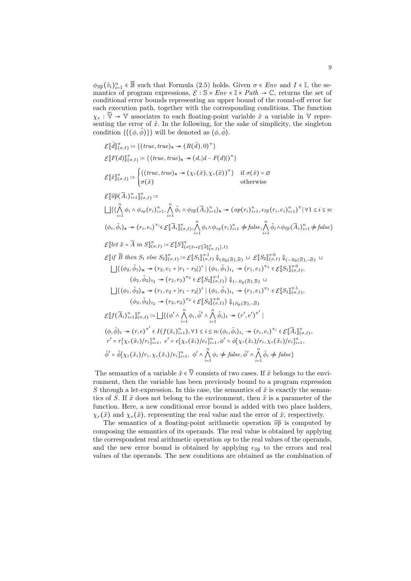$\phi_{\widetilde{op}}(\tilde{v}_i)_{i=1}^n \in \widetilde{\mathbb{B}}$  such that Formula [\(2.5\)](#page-4-0) holds. Given  $\sigma \in Env$  and  $I \in \mathbb{I}$ , the se-<br>mention of program expressions,  $S \times F_{\text{rel}} \times F_{\text{rel}} \times F_{\text{rel}}$ ,  $C$  returns the set of mantics of program expressions,  $\mathcal{E} : \mathbb{S} \times Env \times \mathbb{I} \times Path \to \mathbb{C}$ , returns the set of conditional error bounds representing an upper bound of the round-off error for each execution path, together with the corresponding conditions. The function  $\chi_e : \widetilde{\mathbb{V}} \to \mathbb{V}$  associates to each floating-point variable  $\tilde{x}$  a variable in  $\mathbb{V}$  representing the error of  $\tilde{x}$ . In the following, for the sake of simplicity, the singleton condition  $\langle \{(\phi, \tilde{\phi})\}\rangle$  will be denoted as  $\langle \phi, \tilde{\phi} \rangle$ .

$$
\mathcal{E}[\![\tilde{d}]\!]_{(\sigma,1)}^{\pi} := \{ \langle true, true \rangle_{\mathbf{s}} \rightarrow (\mathbb{R}(\tilde{d}), 0)^{\pi} \} \n\mathcal{E}[\![F(d)]\!]_{(\sigma,1)}^{\pi} := \{ \langle true, true \rangle_{\mathbf{s}} \rightarrow (\chi_{r}(\tilde{x}), \chi_{e}(\tilde{x}))^{\pi} \} \quad \text{if } \sigma(\tilde{x}) = \emptyset \n\mathcal{E}[\![\tilde{v}\!]_{(\sigma,1)}^{\pi} := \left\{ \langle true, true \rangle_{\mathbf{s}} \rightarrow (\chi_{r}(\tilde{x}), \chi_{e}(\tilde{x}))^{\pi} \right\} \quad \text{if } \sigma(\tilde{x}) = \emptyset \n\text{otherwise} \n\mathcal{E}[\![\widetilde{op}(\tilde{A}_{i})_{i=1}^{n}]\!]_{(\sigma,1)}^{\pi} := \n\Box[\![\langle \bigwedge_{i=1}^{n} \phi_{i} \land \phi_{\sigma p}(r_{i})_{i=1}^{n}, \bigwedge_{i=1}^{n} \phi_{i} \land \phi_{\overline{\sigma p}}(\tilde{A}_{i})_{i=1}^{n} \rangle_{\mathbf{s}} \rightarrow (op(r_{i})_{i=1}^{n}, \varepsilon_{\overline{\sigma p}}(r_{i}, e_{i})_{i=1}^{n})^{\pi} | \forall 1 \leq i \leq n: \n\langle \phi_{i}, \tilde{\phi}_{i} \rangle_{\mathbf{s}} \rightarrow (r_{i}, e_{i})^{n} \in \mathcal{E}[\![\tilde{A}_{i}]\!]_{(\sigma,1)}^{\pi}, \bigwedge_{i=1}^{n} \phi_{i} \land \phi_{\sigma p}(r_{i})_{i=1}^{n} \neq false, \bigwedge_{i=1}^{n} \tilde{\phi}_{i} \land \phi_{\overline{\sigma p}}(\tilde{A}_{i})_{i=1}^{n} \neq false \right\}
$$
\n
$$
\mathcal{E}[\![let \tilde{x} = \tilde{A} \text{ in } S] \!]_{(\sigma,1)}^{\pi} := \mathcal{E}[\![S] \!]_{(\sigma,1)}^{\pi}, \bigwedge_{i=1}^{n} \phi_{i} \land \phi_{\sigma p}(r_{i})_{i=1}^{n} \neq false, \bigwedge_{i=1}
$$

The semantics of a variable  $\tilde{x} \in \tilde{\mathbb{V}}$  consists of two cases. If  $\tilde{x}$  belongs to the environment, then the variable has been previously bound to a program expression S through a let-expression. In this case, the semantics of  $\tilde{x}$  is exactly the semantics of S. If  $\tilde{x}$  does not belong to the environment, then  $\tilde{x}$  is a parameter of the function. Here, a new conditional error bound is added with two place holders,  $\chi_r(\tilde{x})$  and  $\chi_e(\tilde{x})$ , representing the real value and the error of  $\tilde{x}$ , respectively.

The semantics of a floating-point arithmetic operation  $\widetilde{op}$  is computed by composing the semantics of its operands. The real value is obtained by applying the correspondent real arithmetic operation  $op$  to the real values of the operands, and the new error bound is obtained by applying  $\epsilon_{\widetilde{op}}$  to the errors and real values of the operands. The new conditions are obtained as the combination of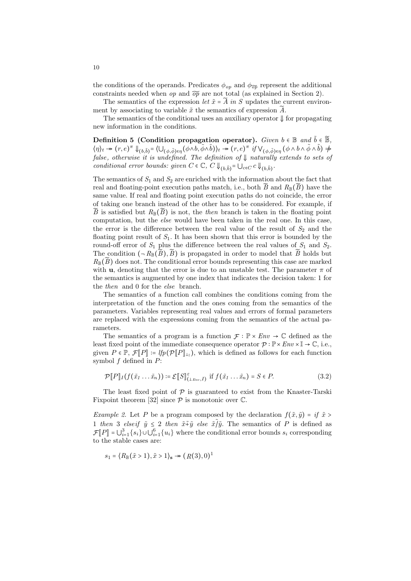the conditions of the operands. Predicates  $\phi_{op}$  and  $\phi_{\widetilde{op}}$  represent the additional constraints needed when  $op$  and  $\widetilde{op}$  are not total (as explained in Section [2\)](#page-2-0).

The semantics of the expression let  $\tilde{x} = \tilde{A}$  in S updates the current environment by associating to variable  $\tilde{x}$  the semantics of expression  $\tilde{A}$ .

The semantics of the conditional uses an auxiliary operator  $\parallel$  for propagating new information in the conditions.

Definition 5 (Condition propagation operator). Given  $b \in \mathbb{B}$  and  $\tilde{b} \in \widetilde{\mathbb{B}}$ ,  $\langle \eta \rangle_t \twoheadrightarrow (r, e)^\pi \Downarrow_{(b, \tilde{b})} = \langle \bigcup_{(\phi, \tilde{\phi}) \in \eta} (\phi \wedge b, \tilde{\phi} \wedge \tilde{b}) \rangle_t \twoheadrightarrow (r, e)^\pi \downarrow' \downarrow' \downarrow_{(\phi, \tilde{\phi}) \in \eta} (\phi \wedge b \wedge \tilde{\phi} \wedge \tilde{b}) \nightharpoonup$ false, otherwise it is undefined. The definition of  $\downarrow$  naturally extends to sets of conditional error bounds: given  $C \in \mathbb{C}$ ,  $C \Downarrow_{(b,\tilde{b})} C \cup_{c \in C} c \Downarrow_{(b,\tilde{b})} C$ 

The semantics of  $S_1$  and  $S_2$  are enriched with the information about the fact that real and floating-point execution paths match, i.e., both  $\tilde{B}$  and  $R_{\mathbb{R}}(\tilde{B})$  have the same value. If real and floating point execution paths do not coincide, the error of taking one branch instead of the other has to be considered. For example, if  $\widetilde{B}$  is satisfied but  $R_{\mathbb{B}}(\widetilde{B})$  is not, the then branch is taken in the floating point computation, but the else would have been taken in the real one. In this case, the error is the difference between the real value of the result of  $S_2$  and the floating point result of  $S_1$ . It has been shown that this error is bounded by the round-off error of  $S_1$  plus the difference between the real values of  $S_1$  and  $S_2$ . The condition  $(\neg R_{\mathbb{B}}(\widetilde{B}), \widetilde{B})$  is propagated in order to model that  $\widetilde{B}$  holds but  $R_{\mathbb{B}}(\tilde{B})$  does not. The conditional error bounds representing this case are marked with **u**, denoting that the error is due to an unstable test. The parameter  $\pi$  of the semantics is augmented by one index that indicates the decision taken: 1 for the *then* and 0 for the *else* branch.

The semantics of a function call combines the conditions coming from the interpretation of the function and the ones coming from the semantics of the parameters. Variables representing real values and errors of formal parameters are replaced with the expressions coming from the semantics of the actual parameters.

The semantics of a program is a function  $\mathcal{F} : \mathbb{P} \times Env \to \mathbb{C}$  defined as the least fixed point of the immediate consequence operator  $\mathcal{P} : \mathbb{P} \times Env \times \mathbb{I} \to \mathbb{C}$ , i.e., given  $P \in \mathbb{P}$ ,  $\mathcal{F}[\![P]\!] := lfp(\mathcal{P}[\![P]\!]_{\perp_I})$ , which is defined as follows for each function symbol  $f$  defined in  $P$ :

<span id="page-9-0"></span>
$$
\mathcal{P}[\![P]\!]_I(f(\tilde{x}_1 \ldots \tilde{x}_n)) \coloneqq \mathcal{E}[\![S]\!]_{(\perp_{Env},I)}^{\varepsilon} \text{ if } f(\tilde{x}_1 \ldots \tilde{x}_n) = S \in P. \tag{3.2}
$$

The least fixed point of  $P$  is guaranteed to exist from the Knaster-Tarski Fixpoint theorem [\[32\]](#page-21-2) since  $P$  is monotonic over  $\mathbb{C}$ .

<span id="page-9-1"></span>*Example 2.* Let P be a program composed by the declaration  $f(\tilde{x}, \tilde{y}) = i f \tilde{x} >$ 1 then 3 elseif  $\tilde{y} \le 2$  then  $\tilde{x} + \tilde{y}$  else  $\tilde{x}/\tilde{y}$ . The semantics of P is defined as  $\mathcal{F}[\![P]\!] = \bigcup_{i=1}^3 \{s_i\} \cup \bigcup_{i=1}^6 \{u_i\}$  where the conditional error bounds  $s_i$  corresponding to the stable associate. to the stable cases are:

$$
s_1 = \langle R_{\mathbb{B}}(\tilde{x} > 1), \tilde{x} > 1 \rangle_s \twoheadrightarrow (R(3), 0)^1
$$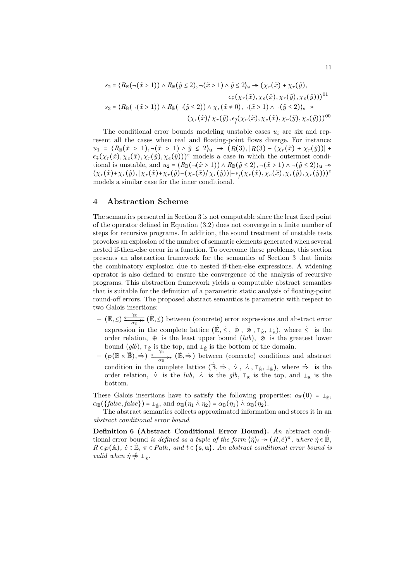$$
s_2 = (R_{\mathbb{B}}(\neg(\tilde{x} > 1)) \land R_{\mathbb{B}}(\tilde{y} \le 2), \neg(\tilde{x} > 1) \land \tilde{y} \le 2)_{\mathbf{s}} \rightarrow (\chi_r(\tilde{x}) + \chi_r(\tilde{y}),
$$
  
\n
$$
\epsilon_{\tilde{x}}(\chi_r(\tilde{x}), \chi_e(\tilde{x}), \chi_r(\tilde{y}), \chi_e(\tilde{y})))^{01}
$$
  
\n
$$
s_3 = (R_{\mathbb{B}}(\neg(\tilde{x} > 1)) \land R_{\mathbb{B}}(\neg(\tilde{y} \le 2)) \land \chi_r(\tilde{x} \ne 0), \neg(\tilde{x} > 1) \land \neg(\tilde{y} \le 2) )_{\mathbf{s}} \rightarrow
$$
  
\n
$$
(\chi_r(\tilde{x}) / \chi_r(\tilde{y}), \epsilon_{\tilde{y}}(\chi_r(\tilde{x}), \chi_e(\tilde{x}), \chi_r(\tilde{y}), \chi_e(\tilde{y})))^{00}
$$

The conditional error bounds modeling unstable cases  $u_i$  are six and represent all the cases when real and floating-point flows diverge. For instance:  $u_1 = (R_{\mathbb{B}}(\tilde{x} > 1), \neg(\tilde{x} > 1) \wedge \tilde{y} \leq 2)_{\mathbf{u}} \twoheadrightarrow (R(3), |R(3) - (\chi_r(\tilde{x}) + \chi_r(\tilde{y}))| +$  $\epsilon_{\tilde{\tau}}(\chi_r(\tilde{x}), \chi_e(\tilde{x}), \chi_r(\tilde{y}), \chi_e(\tilde{y}))$ <sup> $\varepsilon$ </sup> models a case in which the outermost conditional is unstable, and  $u_2 = (R_{\mathbb{B}}(\neg(\tilde{x} > 1)) \wedge R_{\mathbb{B}}(\tilde{y} \le 2), \neg(\tilde{x} > 1) \wedge \neg(\tilde{y} \le 2))_{\mathbf{u}} \rightarrow$  $(\chi_r(\tilde{x})+\chi_r(\tilde{y}),|\chi_r(\tilde{x})+\chi_r(\tilde{y})-(\chi_r(\tilde{x})/\chi_r(\tilde{y}))|+\epsilon_{\tilde{f}}(\chi_r(\tilde{x}),\chi_e(\tilde{x}),\chi_r(\tilde{y}),\chi_e(\tilde{y})))^{\varepsilon}$ models a similar case for the inner conditional.

#### <span id="page-10-0"></span>4 Abstraction Scheme

The semantics presented in Section [3](#page-5-0) is not computable since the least fixed point of the operator defined in Equation [\(3.2\)](#page-9-0) does not converge in a finite number of steps for recursive programs. In addition, the sound treatment of unstable tests provokes an explosion of the number of semantic elements generated when several nested if-then-else occur in a function. To overcome these problems, this section presents an abstraction framework for the semantics of Section [3](#page-5-0) that limits the combinatory explosion due to nested if-then-else expressions. A widening operator is also defined to ensure the convergence of the analysis of recursive programs. This abstraction framework yields a computable abstract semantics that is suitable for the definition of a parametric static analysis of floating-point round-off errors. The proposed abstract semantics is parametric with respect to two Galois insertions:

- $-$  (E,  $\leq$ )  $\xrightarrow{\gamma_{\mathbb{E}}}$  $\overrightarrow{\alpha_{\mathbb{E}}}$  $\frac{\gamma_{\mathbb{E}}}{\alpha_{\mathbb{E}}}$  ( $\mathbb{E}, \leq$ ) between (concrete) error expressions and abstract error expression in the complete lattice  $(\dot{\mathbb{E}}, \dot{\leq}, \dot{\Theta}, \dot{\otimes}, \mathsf{T}_{\dot{\mathbb{E}}}, \mathsf{L}_{\dot{\mathbb{E}}})$ , where  $\dot{\leq}$  is the condensation  $\dot{\phi}$  is the least upper hound (k,k).  $\dot{\phi}$  is the greatest large order relation,  $\dot{\Theta}$  is the least upper bound  $(lub)$ ,  $\dot{\otimes}$  is the greatest lower bound  $(glb)$ ,  $\top_{\dot{\mathbb{E}}}$  is the top, and  $\bot_{\dot{\mathbb{E}}}$  is the bottom of the domain.
- $\ \left( \wp(\mathbb{B} \times \widetilde{\mathbb{B}}), \hat{\Rightarrow} \right) \xrightarrow[\frac{\gamma_{\mathbb{B}}}{\alpha_{\mathbb{B}}} \rightarrow \infty]{}$  $\overrightarrow{\alpha_{\mathbb{B}}}$  $\overrightarrow{\gamma_{\mathbb{B}}}$   $(\mathbb{B}, \Rightarrow)$  between (concrete) conditions and abstract condition in the complete lattice  $(\mathbb{B}, \Rightarrow, \vee, \wedge, \top_{\mathbb{B}}, \bot_{\mathbb{B}})$ , where  $\Rightarrow$  is the order relation,  $\dot{v}$  is the *lub*,  $\dot{\wedge}$  is the glb,  $\tau_{\dot{B}}$  is the top, and  $\bot_{\dot{B}}$  is the bottom.

These Galois insertions have to satisfy the following properties:  $\alpha_{\mathbb{E}}(0) = \perp_{\mathbb{E}}$ ,  $\alpha_{\mathbb{B}}(\{false, false\}) = \perp_{\dot{\mathbb{B}}}, \text{ and } \alpha_{\mathbb{B}}(\eta_1 \land \eta_2) = \alpha_{\mathbb{B}}(\eta_1) \land \alpha_{\mathbb{B}}(\eta_2).$ 

The abstract semantics collects approximated information and stores it in an abstract conditional error bound.

Definition 6 (Abstract Conditional Error Bound). An abstract conditional error bound is defined as a tuple of the form  $\langle \eta \rangle_t \rightarrow (R, \dot{e})^{\pi}$ , where  $\dot{\eta} \in \dot{\mathbb{B}}$ ,<br> $R \in \mathcal{L}(A)$ , is  $\dot{\mathbb{F}} = \varepsilon R_0 t h$ , and t  $\varepsilon$  (a, n), the abstract somitting al space bound is  $R \in \mathcal{P}(\mathbb{A}), \ \dot{e} \in \dot{\mathbb{E}}, \ \pi \in Path, \ and \ t \in \{\mathbf{s}, \mathbf{u}\}.$  An abstract conditional error bound is valid when  $\eta \neq \perp_{\mathbb{R}}$ .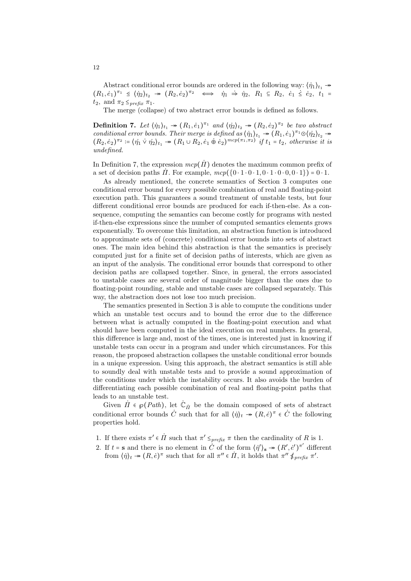Abstract conditional error bounds are ordered in the following way:  $\langle \dot{\eta}_1 \rangle_{t_1} \rightarrow$  $(R_1, \dot{e}_1)^{\pi_1} \leq (\dot{\eta}_2)_{t_2} \rightarrow (R_2, \dot{e}_2)^{\pi_2} \iff \dot{\eta}_1 \Rightarrow \dot{\eta}_2, R_1 \subseteq R_2, \dot{e}_1 \leq \dot{e}_2, t_1 =$  $t_2$ , and  $\pi_2 \leq_{prefix} \pi_1$ .

<span id="page-11-0"></span>The merge (collapse) of two abstract error bounds is defined as follows.

**Definition 7.** Let  $(\eta_1)_{t_1} \twoheadrightarrow (R_1, \dot{e}_1)^{\pi_1}$  and  $(\eta_2)_{t_2} \twoheadrightarrow (R_2, \dot{e}_2)^{\pi_2}$  be two abstract conditional error bounds. Their merge is defined as  $(\eta_1)_{t_1} \rightarrow (R_1, \epsilon_1)^{\pi_1} \odot (\eta_2)_{t_2} \rightarrow$  $(R_2, \dot{e}_2)^{\pi_2} \coloneqq \langle \dot{\eta_1} \dot{\vee} \dot{\eta_2} \rangle_{t_1} \rightarrow (R_1 \cup R_2, \dot{e}_1 \dot{\oplus} \dot{e}_2)^{mcp(\pi_1, \pi_2)}$  if  $t_1 = t_2$ , otherwise it is undefined.

In Definition [7,](#page-11-0) the expression  $mcp(\bar{H})$  denotes the maximum common prefix of a set of decision paths  $\hat{H}$ . For example,  $mcp(\{0 \cdot 1 \cdot 0 \cdot 1, 0 \cdot 1 \cdot 0 \cdot 0, 0 \cdot 1\}) = 0 \cdot 1$ .

As already mentioned, the concrete semantics of Section [3](#page-5-0) computes one conditional error bound for every possible combination of real and floating-point execution path. This guarantees a sound treatment of unstable tests, but four different conditional error bounds are produced for each if-then-else. As a consequence, computing the semantics can become costly for programs with nested if-then-else expressions since the number of computed semantics elements grows exponentially. To overcome this limitation, an abstraction function is introduced to approximate sets of (concrete) conditional error bounds into sets of abstract ones. The main idea behind this abstraction is that the semantics is precisely computed just for a finite set of decision paths of interests, which are given as an input of the analysis. The conditional error bounds that correspond to other decision paths are collapsed together. Since, in general, the errors associated to unstable cases are several order of magnitude bigger than the ones due to floating-point rounding, stable and unstable cases are collapsed separately. This way, the abstraction does not lose too much precision.

The semantics presented in Section [3](#page-5-0) is able to compute the conditions under which an unstable test occurs and to bound the error due to the difference between what is actually computed in the floating-point execution and what should have been computed in the ideal execution on real numbers. In general, this difference is large and, most of the times, one is interested just in knowing if unstable tests can occur in a program and under which circumstances. For this reason, the proposed abstraction collapses the unstable conditional error bounds in a unique expression. Using this approach, the abstract semantics is still able to soundly deal with unstable tests and to provide a sound approximation of the conditions under which the instability occurs. It also avoids the burden of differentiating each possible combination of real and floating-point paths that leads to an unstable test.

Given  $\Pi \in \wp(Path)$ , let  $\mathbb{C}_{\Pi}$  be the domain composed of sets of abstract conditional error bounds  $\dot{C}$  such that for all  $\langle \dot{\eta} \rangle_t \twoheadrightarrow (R, \dot{e})^{\pi} \in \dot{C}$  the following properties hold.

- 1. If there exists  $\pi' \in \Pi$  such that  $\pi' \leq_{\text{prefix}} \pi$  then the cardinality of R is 1.
- 2. If  $t = s$  and there is no element in C<sup> $\dot{C}$ </sup> of the form  $\langle \dot{\eta}' \rangle_s \rightarrow (R', \dot{e}')^{\pi'}$  different from  $\langle \eta \rangle_t \twoheadrightarrow (R, \dot{e})^{\pi}$  such that for all  $\pi'' \in \dot{H}$ , it holds that  $\pi'' \nless_{\text{prefix}} \pi'$ .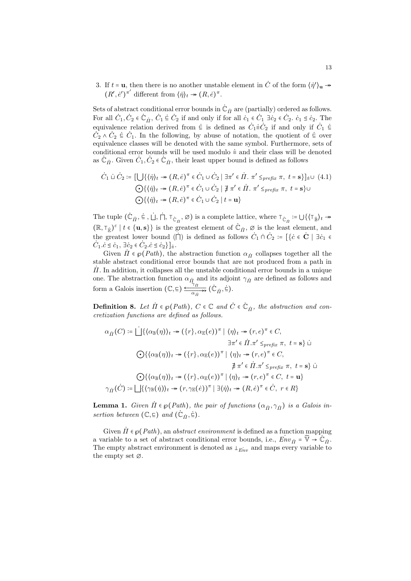3. If  $t = \mathbf{u}$ , then there is no another unstable element in  $\dot{C}$  of the form  $\langle \dot{\eta}' \rangle_{\mathbf{u}} \rightarrow$  $(R', \dot{e}')^{\pi'}$  different from  $\langle \dot{\eta} \rangle_t \rightarrow (R, \dot{e})^{\pi}$ .

Sets of abstract conditional error bounds in  $\dot{\mathbb{C}}_{\dot{H}}$  are (partially) ordered as follows. For all  $C_1, C_2 \in \mathbb{C}_{\dot{H}}, C_1 \subseteq C_2$  if and only if for all  $c_1 \in C_1$   $\exists c_2 \in C_2$ .  $c_1 \leq c_2$ . The equivalence relation derived from  $\dot{\Xi}$  is defined as  $\dot{C}_1 \dot{\Xi} \dot{C}_2$  if and only if  $\dot{C}_1 \dot{\Xi}$  $\dot{C}_2 \wedge \dot{C}_2 \leq \dot{C}_1$ . In the following, by abuse of notation, the quotient of  $\dot{\Xi}$  over equivalence classes will be denoted with the same symbol. Furthermore, sets of conditional error bounds will be used modulo  $\dot{\equiv}$  and their class will be denoted as  $\dot{C}_{\dot{H}}$ . Given  $\dot{C}_1, \dot{C}_2 \in \dot{C}_{\dot{H}}$ , their least upper bound is defined as follows

$$
\dot{C}_1 \; \dot{\sqcup} \; \dot{C}_2 \coloneqq \left[ \bigcup \{ \langle \dot{\eta} \rangle_t \to (R, \dot{e})^\pi \in \dot{C}_1 \cup \dot{C}_2 \mid \exists \pi' \in \dot{\Pi}. \ \pi' \leq_{prefix} \pi, \ t = \mathbf{s} \right] \equiv \cup \ (4.1)
$$
\n
$$
\bigodot \{ \langle \dot{\eta} \rangle_t \to (R, \dot{e})^\pi \in \dot{C}_1 \cup \dot{C}_2 \mid \nexists \pi' \in \dot{\Pi}. \ \pi' \leq_{prefix} \pi, \ t = \mathbf{s} \} \cup \bigodot \{ \langle \dot{\eta} \rangle_t \to (R, \dot{e})^\pi \in \dot{C}_1 \cup \dot{C}_2 \mid t = \mathbf{u} \}
$$

The tuple  $(\dot{C}_{\dot{H}}, \dot{\Xi}, \dot{\Box}, \dot{\Box}, \tau_{\dot{C}_{\dot{H}}}, \varnothing)$  is a complete lattice, where  $\tau_{\dot{C}_{\dot{H}}} := \bigcup \{ \langle \tau_{\dot{\mathbb{B}}}\rangle_t \rightarrow$  $(\mathbb{R}, \tau_{\mathbb{E}})^\varepsilon \mid t \in \{\mathbf{u}, \mathbf{s}\}\}\$ is the greatest element of  $\mathbb{C}_{\dot{H}}, \varnothing$  is the least element, and the greatest lower bound ( $\Gamma$ ) is defined as follows  $\dot{C}_1 \cap \dot{C}_2 = [\{c \in \dot{\mathbf{C}} \mid \exists c_1 \in \dot{C} \mid \exists c_2 \in \dot{C} \mid \exists c_1 \in \dot{C} \mid \exists c_2 \in \dot{C} \mid \exists c_1 \in \dot{C} \mid \exists c_2 \in \dot{C} \mid \exists c_1 \in \dot{C} \mid \exists c_2 \in \dot{C} \mid \exists c_1 \in \dot{C} \mid \exists c_2 \in \dot{$  $\dot{C}_1 \dot{c} \leq \dot{c}_1, \exists \dot{c}_2 \in \dot{C}_2 \dot{c} \leq \dot{c}_2 \} \]_{\dot{x}}$ .

Given  $\Pi \in \mathcal{P}(Path)$ , the abstraction function  $\alpha_{\Pi}$  collapses together all the stable abstract conditional error bounds that are not produced from a path in  $\dot{\Pi}$ . In addition, it collapses all the unstable conditional error bounds in a unique one. The abstraction function  $\alpha_{\hat{\Pi}}$  and its adjoint  $\gamma_{\hat{\Pi}}$  are defined as follows and form a Galois insertion  $(\mathbb{C}, \Xi) \xrightarrow{\tau_H \tau}$  $\frac{\dot{\gamma}_{\dot{\Pi}}}{\alpha_{\dot{\Pi}}}$   $(\dot{\mathbb{C}}_{\dot{\Pi}}, \dot{\mathbb{E}}).$ 

**Definition 8.** Let  $\Pi \in \mathcal{P}(Path)$ ,  $C \in \mathbb{C}$  and  $\dot{C} \in \dot{\mathbb{C}}_{\dot{H}}$ , the abstraction and concretization functions are defined as follows.

<span id="page-12-0"></span>
$$
\alpha_{\dot{H}}(C) := \bigcup \{ \langle \alpha_{\mathbb{B}}(\eta) \rangle_t \to (\{r\}, \alpha_{\mathbb{E}}(e))^{\pi} \mid \langle \eta \rangle_t \to (r, e)^{\pi} \in C, \n\exists \pi' \in \dot{H}.\pi' \leq_{prefix} \pi, t = s \} \dot{\sqcup} \n\bigodot \{ \langle \alpha_{\mathbb{B}}(\eta) \rangle_t \to (\{r\}, \alpha_{\mathbb{E}}(e))^{\pi} \mid \langle \eta \rangle_t \to (r, e)^{\pi} \in C, \n\neq \pi' \in \dot{H}.\pi' \leq_{prefix} \pi, t = s \} \dot{\sqcup} \n\bigodot \{ \langle \alpha_{\mathbb{B}}(\eta) \rangle_t \to (\{r\}, \alpha_{\mathbb{E}}(e))^{\pi} \mid \langle \eta \rangle_t \to (r, e)^{\pi} \in C, t = \mathbf{u} \} \n\gamma_{\dot{H}}(\dot{C}) := \bigcup \{ \langle \gamma_{\mathbb{B}}(\dot{\eta}) \rangle_t \to (r, \gamma_{\mathbb{E}}(e))^{\pi} \mid \exists \langle \dot{\eta} \rangle_t \to (R, e)^{\pi} \in \dot{C}, r \in R \}
$$

**Lemma 1.** Given  $\Pi \in \mathcal{P}(Path)$ , the pair of functions  $(\alpha_{\hat{H}}, \gamma_{\hat{H}})$  is a Galois insertion between  $(\mathbb{C}, \underline{\epsilon})$  and  $(\dot{\mathbb{C}}_{\dot{\Pi}}, \dot{\underline{\epsilon}})$ .

Given  $\Pi \in \mathcal{P}(Path)$ , an abstract environment is defined as a function mapping a variable to a set of abstract conditional error bounds, i.e.,  $\vec{Env}_{\vec{H}} = \widetilde{\nabla} \rightarrow \mathbb{C}_{\vec{H}}$ . The empty abstract environment is denoted as  $\perp_{Env}$  and maps every variable to the empty set ∅.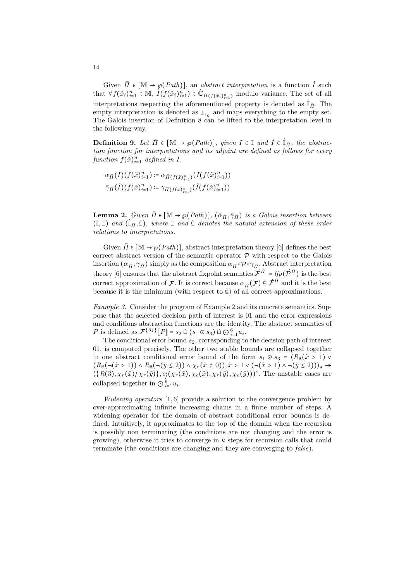Given  $\bar{\Pi} \in [\mathbb{M} \to \varphi(Path)],$  an abstract interpretation is a function  $\bar{I}$  such that  $\forall f(\tilde{x}_i)_{i=1}^n \in \mathbb{M}, \ I(f(\tilde{x}_i)_{i=1}^n) \in \mathbb{C}_{\bar{\Pi}(f(\tilde{x}_i)_{i=1}^n)}$  modulo variance. The set of all interpretations respecting the aforementioned property is denoted as  $\mathbb{I}_{\bar{\Pi}}$ . The empty interpretation is denoted as  $\mathbb{1}_{\mathbb{I}_n}$  and maps everything to the empty set. The Galois insertion of Definition  $8 \text{ can be lifted to the interpretation level in}$  $8 \text{ can be lifted to the interpretation level in}$ the following way.

**Definition 9.** Let  $\overline{\Pi} \in [\mathbb{M} \to \wp(Path)]$ , given  $I \in \mathbb{I}$  and  $I \in \mathbb{I}_{\overline{\Pi}}$ , the abstraction function for intermetations and its adjoint are defined as follows for such tion function for interpretations and its adjoint are defined as follows for every function  $f(\tilde{x})_{i=1}^n$  defined in I.

$$
\bar{\alpha}_{\bar{\Pi}}(I)(f(\tilde{x})_{i=1}^n) := \alpha_{\bar{\Pi}(f(\tilde{x})_{i=1}^n)}(I(f(\tilde{x})_{i=1}^n))
$$
  

$$
\bar{\gamma}_{\bar{\Pi}}(I)(f(\tilde{x})_{i=1}^n) := \gamma_{\bar{\Pi}(f(\tilde{x})_{i=1}^n)}(I(f(\tilde{x})_{i=1}^n))
$$

**Lemma 2.** Given  $\bar{\Pi} \in [\mathbb{M} \to \wp(Path)], (\bar{\alpha}_{\bar{\Pi}}, \bar{\gamma}_{\bar{\Pi}})$  is a Galois insertion between  $(\mathbb{I}, \subseteq)$  and  $(\dot{\mathbb{I}}_{\bar{H}}, \dot{\Xi})$ , where  $\Xi$  and  $\dot{\Xi}$  denotes the natural extension of these order relations to interpretations.

Given  $\bar{\Pi} \in [\mathbb{M} \to \varphi(\text{Path})]$ , abstract interpretation theory [\[6\]](#page-20-8) defines the best correct abstract version of the semantic operator  $\mathcal P$  with respect to the Galois insertion  $(\alpha_{\dot{\Pi}}, \gamma_{\dot{\Pi}})$  simply as the composition  $\alpha_{\dot{\Pi}} \circ \mathcal{P} \circ \gamma_{\dot{\Pi}}$ . Abstract interpretation theory [\[6\]](#page-20-8) ensures that the abstract fixpoint semantics  $\dot{\mathcal{F}}^{\dot{\Pi}} := \text{If}_{\mathcal{P}}(\dot{\mathcal{P}}^{\dot{\Pi}})$  is the best correct approximation of  $\mathcal F$ . It is correct because  $\alpha_{\dot{H}}(\mathcal F) \dot{\subseteq} \dot{\mathcal F}^{\dot{H}}$  and it is the best<br>because it is the minimum (with regress to  $\dot{\subseteq}$ ) of all correct approximations. because it is the minimum (with respect to  $\dot{\Xi}$ ) of all correct approximations.

Example 3. Consider the program of Example [2](#page-9-1) and its concrete semantics. Suppose that the selected decision path of interest is 01 and the error expressions and conditions abstraction functions are the identity. The abstract semantics of P is defined as  $\dot{\mathcal{F}}^{\{01\}}[P] = s_2 \sqcup (s_1 \odot s_3) \sqcup \bigodot_{i=1}^6 u_i.$ <br>The conditional sump bound as connectionalize to

The conditional error bound  $s_2$ , corresponding to the decision path of interest 01, is computed precisely. The other two stable bounds are collapsed together in one abstract conditional error bound of the form  $s_1 \odot s_3 = \langle R_{\mathbb{B}}(\tilde{x} > 1) \vee$  $(R_{\mathbb{B}}(\neg(\tilde{x} > 1)) \wedge R_{\mathbb{B}}(\neg(\tilde{y} \leq 2)) \wedge \chi_r(\tilde{x} \neq 0)), \tilde{x} > 1 \vee (\neg(\tilde{x} > 1) \wedge \neg(\tilde{y} \leq 2))\$ s  $\rightarrow$  $(\{R(3),\chi_r(\tilde{x})/\chi_r(\tilde{y})\}, \epsilon_{\tilde{f}}(\chi_r(\tilde{x}),\chi_e(\tilde{x}),\chi_r(\tilde{y})))^{\varepsilon}$ . The unstable cases are collapsed together in  $\bigcirc_{i=1}^{6} u_i$ .

Widening operators [\[1,](#page-20-9)[6\]](#page-20-8) provide a solution to the convergence problem by over-approximating infinite increasing chains in a finite number of steps. A widening operator for the domain of abstract conditional error bounds is defined. Intuitively, it approximates to the top of the domain when the recursion is possibly non terminating (the conditions are not changing and the error is growing), otherwise it tries to converge in k steps for recursion calls that could terminate (the conditions are changing and they are converging to false).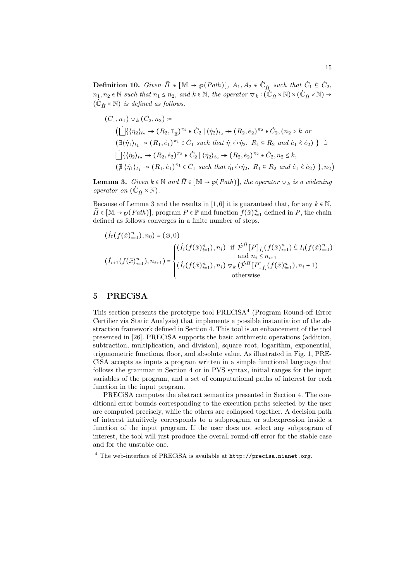**Definition 10.** Given  $\bar{\Pi} \in [\mathbb{M} \to \wp(Path)], A_1, A_2 \in \dot{\mathbb{C}}_{\dot{\Pi}}$  such that  $\dot{C}_1 \leq \dot{C}_2$ ,  $n_1, n_2 \in \mathbb{N}$  such that  $n_1 \leq n_2$ , and  $k \in \mathbb{N}$ , the operator  $\nabla_k : (\mathbb{C}_{\dot{H}} \times \mathbb{N}) \times (\mathbb{C}_{\dot{H}} \times \mathbb{N}) \to$  $(\dot{\mathbb{C}}_{\dot{\Pi}} \times \mathbb{N})$  is defined as follows.

$$
(\dot{C}_1, n_1) \nabla_k (\dot{C}_2, n_2) :=
$$
\n
$$
\left( \coprod \{ \langle \dot{\eta}_2 \rangle_{t_2} \rightarrow (R_2, \top_{\dot{\mathbb{E}}})^{\pi_2} \in \dot{C}_2 \mid \langle \dot{\eta}_2 \rangle_{t_2} \rightarrow (R_2, \dot{e}_2)^{\pi_2} \in \dot{C}_2, (n_2 > k \text{ or } \top \text{ and } \dot{\mathbb{E}}) \}
$$
\n
$$
(\exists \langle \dot{\eta}_1 \rangle_{t_1} \rightarrow (R_1, \dot{e}_1)^{\pi_1} \in \dot{C}_1 \text{ such that } \dot{\eta}_1 \leftrightarrow \dot{\eta}_2, R_1 \subseteq R_2 \text{ and } \dot{e}_1 \leq \dot{e}_2) \} \quad \dot{\Box}
$$
\n
$$
\bigcup \{ \langle \dot{\eta}_2 \rangle_{t_2} \rightarrow (R_2, \dot{e}_2)^{\pi_2} \in \dot{C}_2 \mid \langle \dot{\eta}_2 \rangle_{t_2} \rightarrow (R_2, \dot{e}_2)^{\pi_2} \in \dot{C}_2, n_2 \leq k, \vec{\mu}_1 \rangle_{t_1} \rightarrow (R_1, \dot{e}_1)^{\pi_1} \in \dot{C}_1 \text{ such that } \dot{\eta}_1 \leftrightarrow \dot{\eta}_2, R_1 \subseteq R_2 \text{ and } \dot{e}_1 \leq \dot{e}_2) \}, n_2 \big)
$$

<span id="page-14-1"></span>**Lemma 3.** Given  $k \in \mathbb{N}$  and  $\overline{\Pi} \in [\mathbb{M} \to \wp(Path)]$ , the operator  $\nabla_k$  is a widening operator on  $(\dot{\mathbb{C}}_{\dot{\Pi}} \times \mathbb{N}).$ 

Because of Lemma [3](#page-14-1) and the results in [\[1,](#page-20-9)[6\]](#page-20-8) it is guaranteed that, for any  $k \in \mathbb{N}$ ,  $\overline{\Pi} \in [\mathbb{M} \to \wp(Path)],$  program  $P \in \mathbb{P}$  and function  $f(\tilde{x})_{i=1}^n$  defined in P, the chain defined as follows converges in a finite number of steps.

$$
(\dot{I}_0(f(\tilde{x})_{i=1}^n), n_0) = (\emptyset, 0)
$$
  

$$
(\dot{I}_{i+1}(f(\tilde{x})_{i=1}^n), n_{i+1}) = \begin{cases} (\dot{I}_i(f(\tilde{x})_{i=1}^n), n_i) & \text{if } \dot{\mathcal{P}}^{\bar{\Pi}}[P]_{\dot{I}_i}(f(\tilde{x})_{i=1}^n) \\\text{and } n_i \le n_{i+1} \\ (\dot{I}_i(f(\tilde{x})_{i=1}^n), n_i) \vee_k (\dot{\mathcal{P}}^{\bar{\Pi}}[P]_{\dot{I}_i}(f(\tilde{x})_{i=1}^n), n_i + 1) \\ \text{otherwise} \end{cases}
$$

## <span id="page-14-0"></span>5 PRECiSA

This section presents the prototype tool PRECISA<sup>[4](#page-14-2)</sup> (Program Round-off Error Certifier via Static Analysis) that implements a possible instantiation of the abstraction framework defined in Section [4.](#page-10-0) This tool is an enhancement of the tool presented in [\[26\]](#page-21-0). PRECiSA supports the basic arithmetic operations (addition, subtraction, multiplication, and division), square root, logarithm, exponential, trigonometric functions, floor, and absolute value. As illustrated in Fig. [1,](#page-15-0) PRE-CiSA accepts as inputs a program written in a simple functional language that follows the grammar in Section [4](#page-10-0) or in PVS syntax, initial ranges for the input variables of the program, and a set of computational paths of interest for each function in the input program.

PRECiSA computes the abstract semantics presented in Section [4.](#page-10-0) The conditional error bounds corresponding to the execution paths selected by the user are computed precisely, while the others are collapsed together. A decision path of interest intuitively corresponds to a subprogram or subexpression inside a function of the input program. If the user does not select any subprogram of interest, the tool will just produce the overall round-off error for the stable case and for the unstable one.

<span id="page-14-2"></span><sup>4</sup> The web-interface of PRECiSA is available at <http://precisa.nianet.org>.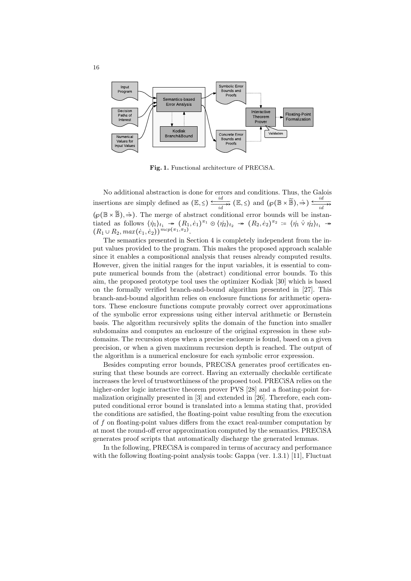

<span id="page-15-0"></span>Fig. 1. Functional architecture of PRECiSA.

No additional abstraction is done for errors and conditions. Thus, the Galois insertions are simply defined as  $(\mathbb{E}, \leq) \xrightarrow{id} (\mathbb{E}, \leq)$  and  $(\wp(\mathbb{B} \times \widetilde{\mathbb{B}}), \Rightarrow) \xrightarrow{id} \overset{id}{\longrightarrow}$  $(\varphi(\mathbb{B} \times \widetilde{\mathbb{B}}), \Rightarrow)$ . The merge of abstract conditional error bounds will be instantiated as follows  $(\dot{\eta}_1)_{t_1} \twoheadrightarrow (R_1, \dot{e}_1)^{\pi_1} \odot (\dot{\eta}_2)_{t_2} \twoheadrightarrow (R_2, \dot{e}_2)^{\pi_2} := (\dot{\eta}_1 \hat{v} \dot{\eta}_2)_{t_1} \twoheadrightarrow (R_1, \dot{e}_1)_{t_2} \twoheadrightarrow (R_2, \dot{e}_2)_{t_2}$  $(R_1 \cup R_2, max(\dot{e}_1, \dot{e}_2))^{mcp(\pi_1, \pi_2)}.$ 

The semantics presented in Section [4](#page-10-0) is completely independent from the input values provided to the program. This makes the proposed approach scalable since it enables a compositional analysis that reuses already computed results. However, given the initial ranges for the input variables, it is essential to compute numerical bounds from the (abstract) conditional error bounds. To this aim, the proposed prototype tool uses the optimizer Kodiak [\[30\]](#page-21-3) which is based on the formally verified branch-and-bound algorithm presented in [\[27\]](#page-21-4). This branch-and-bound algorithm relies on enclosure functions for arithmetic operators. These enclosure functions compute provably correct over approximations of the symbolic error expressions using either interval arithmetic or Bernstein basis. The algorithm recursively splits the domain of the function into smaller subdomains and computes an enclosure of the original expression in these subdomains. The recursion stops when a precise enclosure is found, based on a given precision, or when a given maximum recursion depth is reached. The output of the algorithm is a numerical enclosure for each symbolic error expression.

Besides computing error bounds, PRECiSA generates proof certificates ensuring that these bounds are correct. Having an externally checkable certificate increases the level of trustworthiness of the proposed tool. PRECiSA relies on the higher-order logic interactive theorem prover PVS [\[28\]](#page-21-5) and a floating-point formalization originally presented in [\[3\]](#page-20-5) and extended in [\[26\]](#page-21-0). Therefore, each computed conditional error bound is translated into a lemma stating that, provided the conditions are satisfied, the floating-point value resulting from the execution of f on floating-point values differs from the exact real-number computation by at most the round-off error approximation computed by the semantics. PRECiSA generates proof scripts that automatically discharge the generated lemmas.

In the following, PRECiSA is compared in terms of accuracy and performance with the following floating-point analysis tools: Gappa (ver. 1.3.1) [\[11\]](#page-20-2), Fluctuat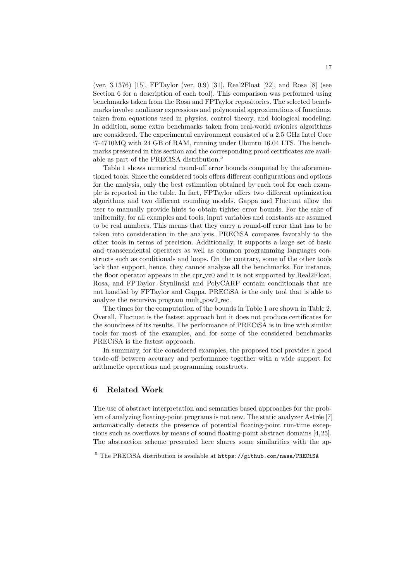(ver. 3.1376) [\[15\]](#page-20-3), FPTaylor (ver. 0.9) [\[31\]](#page-21-1), Real2Float [\[22\]](#page-21-6), and Rosa [\[8\]](#page-20-1) (see Section [6](#page-16-0) for a description of each tool). This comparison was performed using benchmarks taken from the Rosa and FPTaylor repositories. The selected benchmarks involve nonlinear expressions and polynomial approximations of functions, taken from equations used in physics, control theory, and biological modeling. In addition, some extra benchmarks taken from real-world avionics algorithms are considered. The experimental environment consisted of a 2.5 GHz Intel Core i7-4710MQ with 24 GB of RAM, running under Ubuntu 16.04 LTS. The benchmarks presented in this section and the corresponding proof certificates are avail-able as part of the PRECISA distribution.<sup>[5](#page-16-1)</sup>

Table [1](#page-17-0) shows numerical round-off error bounds computed by the aforementioned tools. Since the considered tools offers different configurations and options for the analysis, only the best estimation obtained by each tool for each example is reported in the table. In fact, FPTaylor offers two different optimization algorithms and two different rounding models. Gappa and Fluctuat allow the user to manually provide hints to obtain tighter error bounds. For the sake of uniformity, for all examples and tools, input variables and constants are assumed to be real numbers. This means that they carry a round-off error that has to be taken into consideration in the analysis. PRECiSA compares favorably to the other tools in terms of precision. Additionally, it supports a large set of basic and transcendental operators as well as common programming languages constructs such as conditionals and loops. On the contrary, some of the other tools lack that support, hence, they cannot analyze all the benchmarks. For instance, the floor operator appears in the cpr\_yz0 and it is not supported by Real2Float, Rosa, and FPTaylor. Stynlinski and PolyCARP contain conditionals that are not handled by FPTaylor and Gappa. PRECiSA is the only tool that is able to analyze the recursive program mult\_pow2\_rec.

The times for the computation of the bounds in Table [1](#page-17-0) are shown in Table [2.](#page-18-0) Overall, Fluctuat is the fastest approach but it does not produce certificates for the soundness of its results. The performance of PRECiSA is in line with similar tools for most of the examples, and for some of the considered benchmarks PRECiSA is the fastest approach.

In summary, for the considered examples, the proposed tool provides a good trade-off between accuracy and performance together with a wide support for arithmetic operations and programming constructs.

## <span id="page-16-0"></span>6 Related Work

The use of abstract interpretation and semantics based approaches for the prob-lem of analyzing floating-point programs is not new. The static analyzer Astrée [\[7\]](#page-20-10) automatically detects the presence of potential floating-point run-time exceptions such as overflows by means of sound floating-point abstract domains [\[4,](#page-20-11)[25\]](#page-21-7). The abstraction scheme presented here shares some similarities with the ap-

<span id="page-16-1"></span><sup>5</sup> The PRECiSA distribution is available at <https://github.com/nasa/PRECiSA>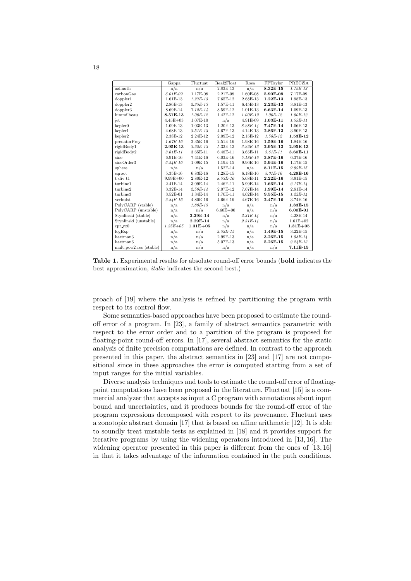|                        | Gappa         | Fluctuat     | Real <sub>2Float</sub> | Rosa         | FPTaylor     | PRECISA      |
|------------------------|---------------|--------------|------------------------|--------------|--------------|--------------|
| azimuth                | n/a           | n/a          | 2.83E-13               | n/a          | 8.32E-15     | $1.19E-13$   |
| carbonGas              | 6.01E-09      | 1.17E-08     | 2.21E-08               | 1.60E-08     | 5.90E-09     | 7.17E-09     |
| doppler1               | 1.61E-13      | $1.27E - 13$ | 7.65E-12               | 2.68E-13     | 1.22E-13     | 1.98E-13     |
| doppler2               | 2.86E-13      | $2.35E - 13$ | 1.57E-11               | 6.45E-13     | 2.23E-13     | 3.81E-13     |
| doppler3               | 8.69E-14      | $7.12E - 14$ | 8.59E-12               | 1.01E-13     | 6.63E-14     | 1.09E-13     |
| himmilbeau             | 8.51E-13      | $1.00E - 12$ | 1.42E-12               | $1.00E - 12$ | $1.00E - 12$ | $1.00E - 12$ |
| jet                    | $4.45E + 03$  | 1.07E-10     | n/a                    | 4.91E-09     | $1.03E-11$   | $1.59E - 11$ |
| kepler <sub>0</sub>    | 1.09E-13      | 1.03E-13     | 1.20E-13               | 8.28E-14     | 7.47E-14     | 1.06E-13     |
| kepler1                | 4.68E-13      | $3.51E - 13$ | 4.67E-13               | 4.14E-13     | 2.86E-13     | 3.90E-13     |
| kepler2                | 2.38E-12      | 2.24E-12     | 2.09E-12               | 2.15E-12     | 1.58E-12     | 1.53E-12     |
| predatorPrev           | 1.67E-16      | 2.35E-16     | $2.51E-16$             | 1.98E-16     | 1.59E-16     | 1.84E-16     |
| rigidBody1             | 2.95E-13      | $3.22E - 13$ | 5.33E-13               | $3.22E-13$   | 2.95E-13     | 2.95E-13     |
| rigidBody2             | $3.61E - 11$  | 3.65E-11     | 6.48E-11               | 3.65E-11     | $3.61E - 11$ | 3.60E-11     |
| sine                   | 6.91E-16      | 7.41E-16     | $6.03E-16$             | 5.18E-16     | 3.87E-16     | 6.37E-16     |
| sineOrder3             | $6.54E-16$    | 1.09E-15     | 1.19E-15               | $9.96E - 16$ | 5.94E-16     | 1.17E-15     |
| sphere                 | n/a           | n/a          | 1.52E-14               | n/a          | 8.11E-15     | $9.99E - 15$ |
| sqroot                 | 5.35E-16      | $6.83E-16$   | 1.28E-15               | 6.18E-16     | $5.01E - 16$ | 4.29E-16     |
| $t_div_t1$             | $9.99E + 00$  | 2.80E-12     | 8.53E-16               | 5.68E-11     | $2.22E-16$   | 3.91E-15     |
| turbine1               | 2.41E-14      | 3.09E-14     | 2.46E-11               | 5.99E-14     | 1.66E-14     | $2.17E-14$   |
| turbine2               | 3.32E-14      | $2.59E-14$   | 2.07E-12               | 7.67E-14     | 1.99E-14     | 2.81E-14     |
| turbine3               | 3.52E-01      | 1.34E-14     | 1.70E-11               | 4.62E-14     | $9.55E-15$   | $1.22E-14$   |
| verhulst               | $2.84E - 16$  | $4.80E - 16$ | $4.66E - 16$           | 4.67E-16     | 2.47E-16     | 3.74E-16     |
| PolyCARP (stable)      | n/a           | 1.89E-15     | n/a                    | n/a          | n/a          | 1.83E-15     |
| PolyCARP (unstable)    | n/a           | n/a          | $6.60E + 00$           | n/a          | n/a          | 6.00E-01     |
| Stynlinski (stable)    | n/a           | 2.29E-14     | n/a                    | $2.31E-14$   | n/a          | 4.28E-14     |
| Stynlinski (unstable)  | n/a           | 2.29E-14     | n/a                    | $2.31E-14$   | n/a          | $1.61E + 02$ |
| $cpr_yz0$              | $1.35E + 0.5$ | $1.31E + 05$ | n/a                    | n/a          | n/a          | $1.31E + 05$ |
| logExp                 | n/a           | n/a          | $2.52E - 15$           | n/a          | 1.49E-15     | 3.22E-15     |
| hartman3               | n/a           | n/a          | 2.99E-13               | n/a          | 3.26E-15     | 1.58E-14     |
| hartman6               | n/a           | n/a          | 5.07E-13               | n/a          | 5.26E-15     | $2.24E-13$   |
| mult_pow2_rec (stable) | n/a           | n/a          | n/a                    | n/a          | n/a          | 7.11E-15     |

<span id="page-17-0"></span>Table 1. Experimental results for absolute round-off error bounds (bold indicates the best approximation, italic indicates the second best.)

proach of [\[19\]](#page-21-8) where the analysis is refined by partitioning the program with respect to its control flow.

Some semantics-based approaches have been proposed to estimate the roundoff error of a program. In [\[23\]](#page-21-9), a family of abstract semantics parametric with respect to the error order and to a partition of the program is proposed for floating-point round-off errors. In [\[17\]](#page-21-10), several abstract semantics for the static analysis of finite precision computations are defined. In contrast to the approach presented in this paper, the abstract semantics in [\[23\]](#page-21-9) and [\[17\]](#page-21-10) are not compositional since in these approaches the error is computed starting from a set of input ranges for the initial variables.

Diverse analysis techniques and tools to estimate the round-off error of floatingpoint computations have been proposed in the literature. Fluctuat [\[15\]](#page-20-3) is a commercial analyzer that accepts as input a C program with annotations about input bound and uncertainties, and it produces bounds for the round-off error of the program expressions decomposed with respect to its provenance. Fluctuat uses a zonotopic abstract domain [\[17\]](#page-21-10) that is based on affine arithmetic [\[12\]](#page-20-12). It is able to soundly treat unstable tests as explained in [\[18\]](#page-21-11) and it provides support for iterative programs by using the widening operators introduced in [\[13,](#page-20-13) [16\]](#page-20-14). The widening operator presented in this paper is different from the ones of [\[13,](#page-20-13) [16\]](#page-20-14) in that it takes advantage of the information contained in the path conditions.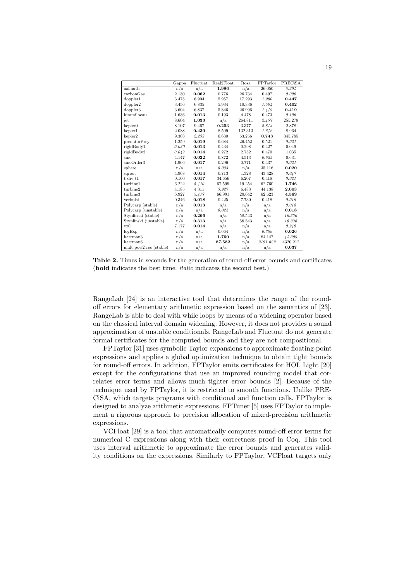|                        | Gappa | Fluctuat | Real <sub>2Float</sub> | Rosa    | $\overline{\text{FPTaylor}}$ | PRECISA  |
|------------------------|-------|----------|------------------------|---------|------------------------------|----------|
| azimuth                | n/a   | n/a      | 1.986                  | n/a     | 26.050                       | 5.204    |
| carbonGas              | 2.130 | 0.062    | 0.776                  | 26.734  | 0.497                        | 0.090    |
| doppler1               | 3.475 | 6.904    | 5.957                  | 17.293  | 1.280                        | 0.447    |
| doppler2               | 3.456 | 6.835    | 5.934                  | 18.336  | 1.504                        | 0.402    |
| doppler3               | 3.604 | 6.837    | 5.846                  | 26.996  | 1.449                        | 0.419    |
| himmilbeau             | 1.636 | 0.013    | 0.193                  | 4.478   | 0.473                        | 0.106    |
| jet                    | 8.604 | 1.033    | n/a                    | 264.811 | 2.457                        | 255.278  |
| kepler <sub>0</sub>    | 8.107 | 9.467    | 0.203                  | 3.377   | 2.813                        | 2.878    |
| kepler1                | 2.088 | 0.430    | 8.509                  | 132.313 | 1.642                        | 8.964    |
| kepler2                | 9.303 | 2.233    | 6.630                  | 63.256  | 0.743                        | 345.785  |
| predatorPrev           | 1.259 | 0.019    | 0.684                  | 26.452  | 0.521                        | 0.021    |
| rigidBody1             | 0.030 | 0.013    | 0.434                  | 0.298   | 0.427                        | 0.049    |
| rigidBody2             | 0.047 | 0.014    | 0.272                  | 2.752   | 0.470                        | 1.035    |
| sine                   | 4.147 | 0.022    | 0.872                  | 4.513   | 0.625                        | 0.631    |
| sineOrder3             | 1.966 | 0.017    | 0.296                  | 0.771   | 0.437                        | 0.021    |
| sphere                 | n/a   | n/a      | 0.033                  | n/a     | 35.116                       | 0.020    |
| sqroot                 | 4.968 | 0.014    | 0.713                  | 1.328   | 43.428                       | 0.047    |
| $t_div_t1$             | 0.160 | 0.017    | 34.656                 | 6.207   | 0.418                        | 0.021    |
| turbine1               | 6.222 | 5.410    | 67.599                 | 19.254  | 62.760                       | 1.746    |
| turbine2               | 4.185 | 4.311    | 3.927                  | 6.483   | 44.138                       | 2.003    |
| turbine3               | 6.927 | 5.417    | 66.991                 | 20.642  | 62.623                       | 4.569    |
| verhulst               | 0.346 | 0.018    | 0.425                  | 7.730   | 0.418                        | 0.019    |
| Polycarp (stable)      | n/a   | 0.013    | n/a                    | n/a     | n/a                          | 0.018    |
| Polycarp (unstable)    | n/a   | n/a      | 0.024                  | n/a     | n/a                          | 0.018    |
| Stynlinski (stable)    | n/a   | 0.266    | n/a                    | 58.543  | n/a                          | 16.376   |
| Stynlinski (unstable)  | n/a   | 0.313    | n/a                    | 58.543  | n/a                          | 16.376   |
| yz0                    | 7.177 | 0.014    | n/a                    | n/a     | n/a                          | 0.249    |
| logExp                 | n/a   | n/a      | 0.664                  | n/a     | 0.389                        | 0.026    |
| hartman <sub>3</sub>   | n/a   | n/a      | 1.760                  | n/a     | 84.147                       | 44.309   |
| hartman6               | n/a   | n/a      | 87.582                 | n/a     | 2191.622                     | 4320.212 |
| mult_pow2_rec (stable) | n/a   | n/a      | n/a                    | n/a     | n/a                          | 0.037    |

<span id="page-18-0"></span>Table 2. Times in seconds for the generation of round-off error bounds and certificates (bold indicates the best time, italic indicates the second best.)

RangeLab [\[24\]](#page-21-12) is an interactive tool that determines the range of the roundoff errors for elementary arithmetic expression based on the semantics of [\[23\]](#page-21-9). RangeLab is able to deal with while loops by means of a widening operator based on the classical interval domain widening. However, it does not provides a sound approximation of unstable conditionals. RangeLab and Fluctuat do not generate formal certificates for the computed bounds and they are not compositional.

FPTaylor [\[31\]](#page-21-1) uses symbolic Taylor expansions to approximate floating-point expressions and applies a global optimization technique to obtain tight bounds for round-off errors. In addition, FPTaylor emits certificates for HOL Light [\[20\]](#page-21-13) except for the configurations that use an improved rounding model that correlates error terms and allows much tighter error bounds [\[2\]](#page-20-4). Because of the technique used by FPTaylor, it is restricted to smooth functions. Unlike PRE-CiSA, which targets programs with conditional and function calls, FPTaylor is designed to analyze arithmetic expressions. FPTuner [\[5\]](#page-20-0) uses FPTaylor to implement a rigorous approach to precision allocation of mixed-precision arithmetic expressions.

VCFloat [\[29\]](#page-21-14) is a tool that automatically computes round-off error terms for numerical C expressions along with their correctness proof in Coq. This tool uses interval arithmetic to approximate the error bounds and generates validity conditions on the expressions. Similarly to FPTaylor, VCFloat targets only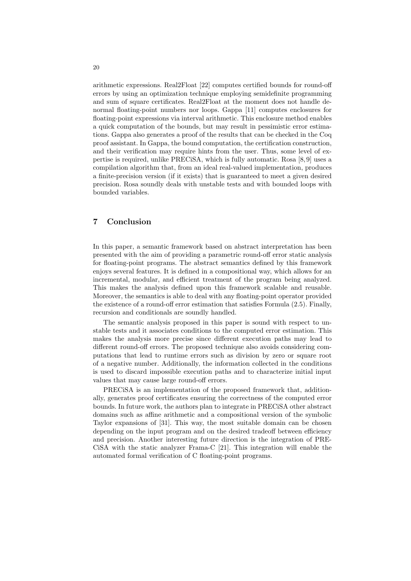arithmetic expressions. Real2Float [\[22\]](#page-21-6) computes certified bounds for round-off errors by using an optimization technique employing semidefinite programming and sum of square certificates. Real2Float at the moment does not handle denormal floating-point numbers nor loops. Gappa [\[11\]](#page-20-2) computes enclosures for floating-point expressions via interval arithmetic. This enclosure method enables a quick computation of the bounds, but may result in pessimistic error estimations. Gappa also generates a proof of the results that can be checked in the Coq proof assistant. In Gappa, the bound computation, the certification construction, and their verification may require hints from the user. Thus, some level of expertise is required, unlike PRECiSA, which is fully automatic. Rosa [\[8,](#page-20-1)[9\]](#page-20-15) uses a compilation algorithm that, from an ideal real-valued implementation, produces a finite-precision version (if it exists) that is guaranteed to meet a given desired precision. Rosa soundly deals with unstable tests and with bounded loops with bounded variables.

# <span id="page-19-0"></span>7 Conclusion

In this paper, a semantic framework based on abstract interpretation has been presented with the aim of providing a parametric round-off error static analysis for floating-point programs. The abstract semantics defined by this framework enjoys several features. It is defined in a compositional way, which allows for an incremental, modular, and efficient treatment of the program being analyzed. This makes the analysis defined upon this framework scalable and reusable. Moreover, the semantics is able to deal with any floating-point operator provided the existence of a round-off error estimation that satisfies Formula [\(2.5\)](#page-4-0). Finally, recursion and conditionals are soundly handled.

The semantic analysis proposed in this paper is sound with respect to unstable tests and it associates conditions to the computed error estimation. This makes the analysis more precise since different execution paths may lead to different round-off errors. The proposed technique also avoids considering computations that lead to runtime errors such as division by zero or square root of a negative number. Additionally, the information collected in the conditions is used to discard impossible execution paths and to characterize initial input values that may cause large round-off errors.

PRECiSA is an implementation of the proposed framework that, additionally, generates proof certificates ensuring the correctness of the computed error bounds. In future work, the authors plan to integrate in PRECiSA other abstract domains such as affine arithmetic and a compositional version of the symbolic Taylor expansions of [\[31\]](#page-21-1). This way, the most suitable domain can be chosen depending on the input program and on the desired tradeoff between efficiency and precision. Another interesting future direction is the integration of PRE-CiSA with the static analyzer Frama-C [\[21\]](#page-21-15). This integration will enable the automated formal verification of C floating-point programs.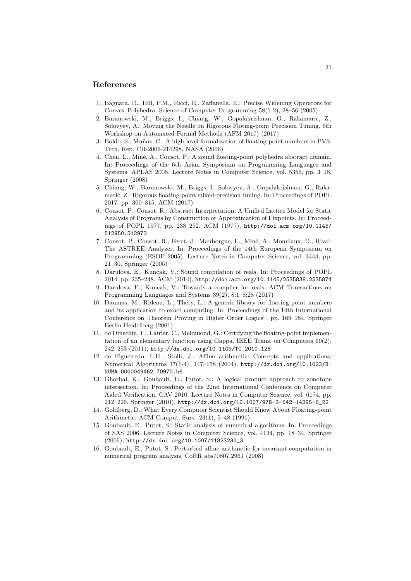#### References

- <span id="page-20-9"></span>1. Bagnara, R., Hill, P.M., Ricci, E., Zaffanella, E.: Precise Widening Operators for Convex Polyhedra. Science of Computer Programming 58(1-2), 28–56 (2005)
- <span id="page-20-4"></span>2. Baranowski, M., Briggs, I., Chiang, W., Gopalakrishnan, G., Rakamaric, Z., Solovyev, A.: Moving the Needle on Rigorous Floting-point Precision Tuning. 6th Workshop on Automated Formal Methods (AFM 2017) (2017)
- <span id="page-20-5"></span>3. Boldo, S., Muñoz, C.: A high-level formalization of floating-point numbers in PVS. Tech. Rep. CR-2006-214298, NASA (2006)
- <span id="page-20-11"></span>4. Chen, L., Min´e, A., Cousot, P.: A sound floating-point polyhedra abstract domain. In: Proceedings of the 6th Asian Symposium on Programming Languages and Systems, APLAS 2008. Lecture Notes in Computer Science, vol. 5356, pp. 3–18. Springer (2008)
- <span id="page-20-0"></span>5. Chiang, W., Baranowski, M., Briggs, I., Solovyev, A., Gopalakrishnan, G., Rakamarić, Z.: Rigorous floating-point mixed-precision tuning. In: Proceedings of POPL 2017. pp. 300–315. ACM (2017)
- <span id="page-20-8"></span>6. Cousot, P., Cousot, R.: Abstract Interpretation: A Unified Lattice Model for Static Analysis of Programs by Construction or Approximation of Fixpoints. In: Proceedings of POPL 1977. pp. 238–252. ACM (1977), [http://doi.acm.org/10.1145/](http://doi.acm.org/10.1145/512950.512973) [512950.512973](http://doi.acm.org/10.1145/512950.512973)
- <span id="page-20-10"></span>7. Cousot, P., Cousot, R., Feret, J., Mauborgne, L., Min´e, A., Monniaux, D., Rival: The ASTREE Analyzer. In: Proceedings of the 14th European Symposium on ´ Programming (ESOP 2005). Lecture Notes in Computer Science, vol. 3444, pp. 21–30. Springer (2005)
- <span id="page-20-1"></span>8. Darulova, E., Kuncak, V.: Sound compilation of reals. In: Proceedings of POPL 2014. pp. 235–248. ACM (2014), <http://doi.acm.org/10.1145/2535838.2535874>
- <span id="page-20-15"></span>9. Darulova, E., Kuncak, V.: Towards a compiler for reals. ACM Transactions on Programming Languages and Systems 39(2), 8:1–8:28 (2017)
- <span id="page-20-6"></span>10. Daumas, M., Rideau, L., Théry, L.: A generic library for floating-point numbers and its application to exact computing. In: Proceedings of the 14th International Conference on Theorem Proving in Higher Order Logics". pp. 169–184. Springer Berlin Heidelberg (2001)
- <span id="page-20-2"></span>11. de Dinechin, F., Lauter, C., Melquiond, G.: Certifying the floating-point implementation of an elementary function using Gappa. IEEE Trans. on Computers  $60(2)$ , 242–253 (2011), <http://dx.doi.org/10.1109/TC.2010.128>
- <span id="page-20-12"></span>12. de Figueiredo, L.H., Stolfi, J.: Affine arithmetic: Concepts and applications. Numerical Algorithms 37(1-4), 147–158 (2004), [http://dx.doi.org/10.1023/B:](http://dx.doi.org/10.1023/B:NUMA.0000049462.70970.b6) [NUMA.0000049462.70970.b6](http://dx.doi.org/10.1023/B:NUMA.0000049462.70970.b6)
- <span id="page-20-13"></span>13. Ghorbal, K., Goubault, E., Putot, S.: A logical product approach to zonotope intersection. In: Proceedings of the 22nd International Conference on Computer Aided Verification, CAV 2010. Lecture Notes in Computer Science, vol. 6174, pp. 212–226. Springer (2010), [http://dx.doi.org/10.1007/978-3-642-14295-6\\_22](http://dx.doi.org/10.1007/978-3-642-14295-6_22)
- <span id="page-20-7"></span>14. Goldberg, D.: What Every Computer Scientist Should Know About Floating-point Arithmetic. ACM Comput. Surv. 23(1), 5–48 (1991)
- <span id="page-20-3"></span>15. Goubault, E., Putot, S.: Static analysis of numerical algorithms. In: Proceedings of SAS 2006. Lecture Notes in Computer Science, vol. 4134, pp. 18–34. Springer (2006), [http://dx.doi.org/10.1007/11823230\\_3](http://dx.doi.org/10.1007/11823230_3)
- <span id="page-20-14"></span>16. Goubault, E., Putot, S.: Perturbed affine arithmetic for invariant computation in numerical program analysis. CoRR abs/0807.2961 (2008)